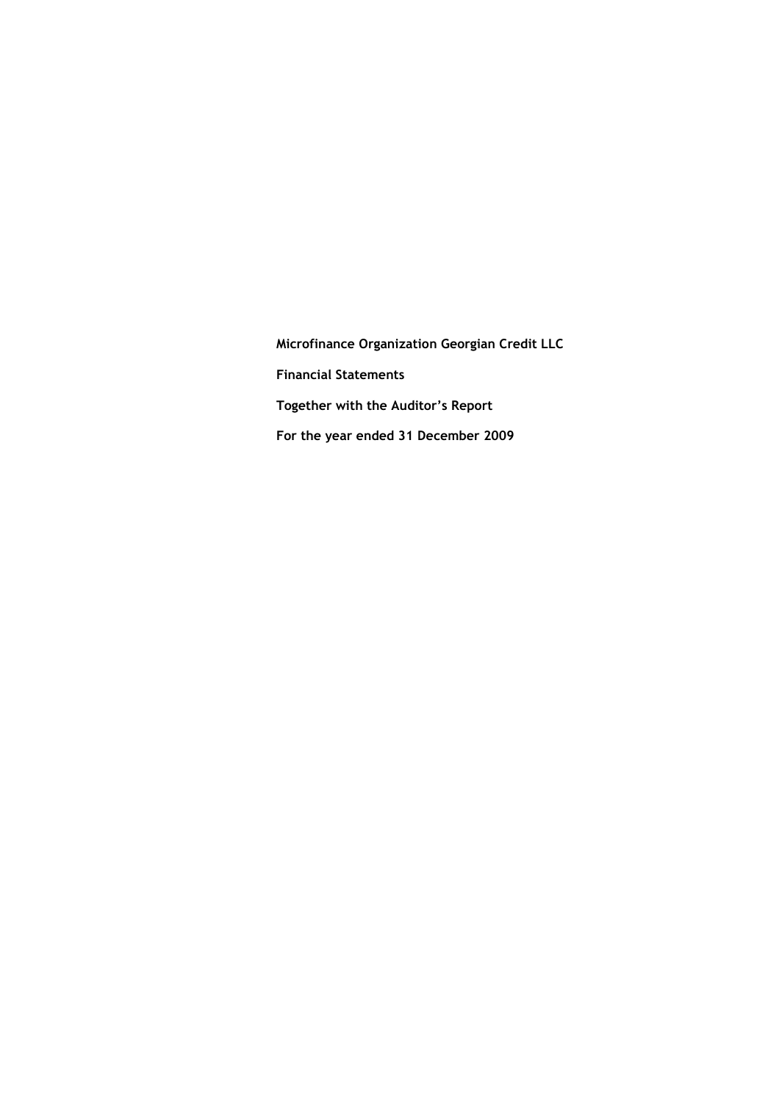Microfinance Organization Georgian Credit LLC **Financial Statements** Together with the Auditor's Report For the year ended 31 December 2009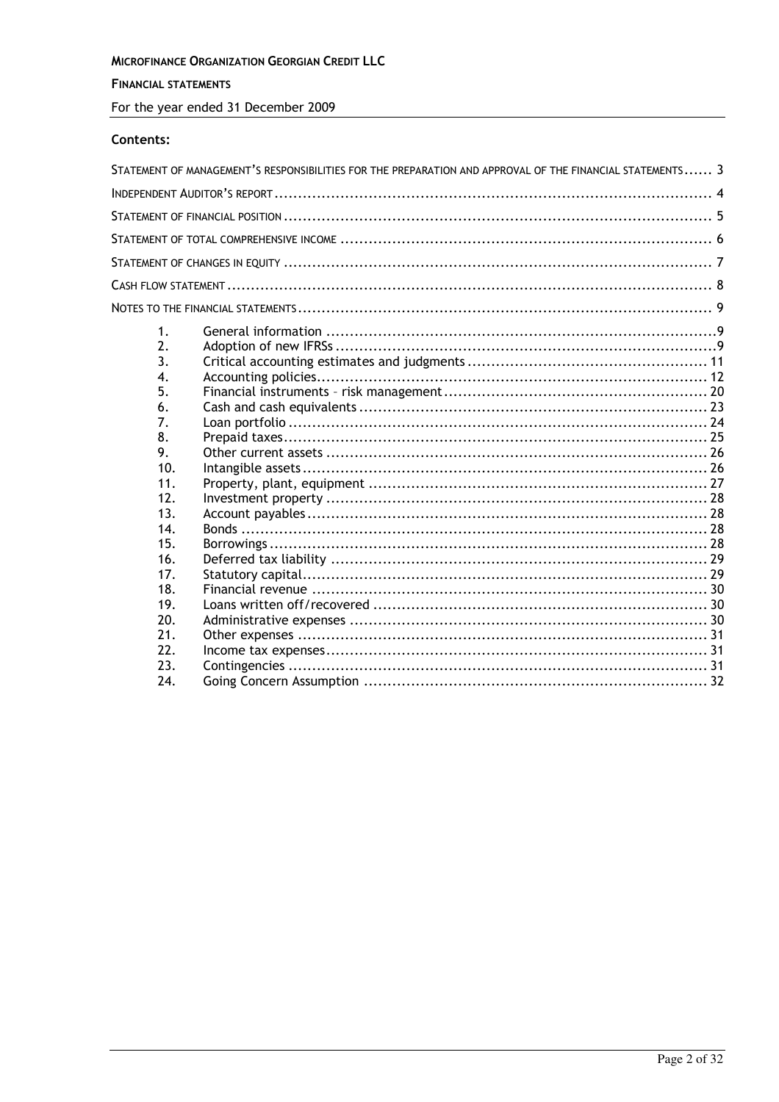# MICROFINANCE ORGANIZATION GEORGIAN CREDIT LLC

# **FINANCIAL STATEMENTS**

For the year ended 31 December 2009

# Contents:

|     | STATEMENT OF MANAGEMENT'S RESPONSIBILITIES FOR THE PREPARATION AND APPROVAL OF THE FINANCIAL STATEMENTS 3 |  |
|-----|-----------------------------------------------------------------------------------------------------------|--|
|     |                                                                                                           |  |
|     |                                                                                                           |  |
|     |                                                                                                           |  |
|     |                                                                                                           |  |
|     |                                                                                                           |  |
|     |                                                                                                           |  |
| 1.  |                                                                                                           |  |
| 2.  |                                                                                                           |  |
| 3.  |                                                                                                           |  |
| 4.  |                                                                                                           |  |
| 5.  |                                                                                                           |  |
| 6.  |                                                                                                           |  |
| 7.  |                                                                                                           |  |
| 8.  |                                                                                                           |  |
| 9.  |                                                                                                           |  |
| 10. |                                                                                                           |  |
| 11. |                                                                                                           |  |
| 12. |                                                                                                           |  |
| 13. |                                                                                                           |  |
| 14. |                                                                                                           |  |
| 15. |                                                                                                           |  |
| 16. |                                                                                                           |  |
| 17. |                                                                                                           |  |
| 18. |                                                                                                           |  |
| 19. |                                                                                                           |  |
| 20. |                                                                                                           |  |
| 21. |                                                                                                           |  |
| 22. |                                                                                                           |  |
| 23. |                                                                                                           |  |
| 24. |                                                                                                           |  |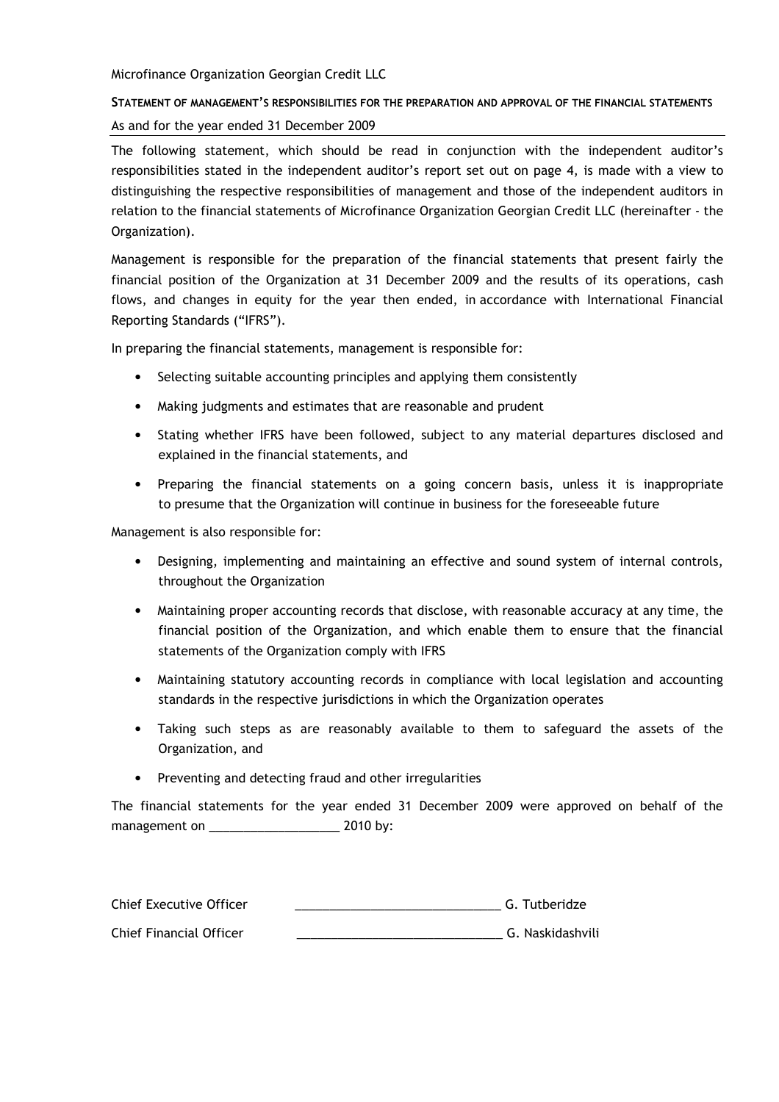# STATEMENT OF MANAGEMENT'S RESPONSIBILITIES FOR THE PREPARATION AND APPROVAL OF THE FINANCIAL STATEMENTS As and for the year ended 31 December 2009

The following statement, which should be read in conjunction with the independent auditor's responsibilities stated in the independent auditor's report set out on page 4, is made with a view to distinguishing the respective responsibilities of management and those of the independent auditors in relation to the financial statements of Microfinance Organization Georgian Credit LLC (hereinafter - the Organization).

Management is responsible for the preparation of the financial statements that present fairly the financial position of the Organization at 31 December 2009 and the results of its operations, cash flows, and changes in equity for the year then ended, in accordance with International Financial Reporting Standards ("IFRS").

In preparing the financial statements, management is responsible for:

- Selecting suitable accounting principles and applying them consistently
- Making judgments and estimates that are reasonable and prudent
- Stating whether IFRS have been followed, subject to any material departures disclosed and explained in the financial statements, and
- Preparing the financial statements on a going concern basis, unless it is inappropriate to presume that the Organization will continue in business for the foreseeable future

Management is also responsible for:

- Designing, implementing and maintaining an effective and sound system of internal controls, throughout the Organization
- Maintaining proper accounting records that disclose, with reasonable accuracy at any time, the financial position of the Organization, and which enable them to ensure that the financial statements of the Organization comply with IFRS
- Maintaining statutory accounting records in compliance with local legislation and accounting standards in the respective jurisdictions in which the Organization operates
- Taking such steps as are reasonably available to them to safeguard the assets of the Organization, and
- Preventing and detecting fraud and other irregularities

The financial statements for the year ended 31 December 2009 were approved on behalf of the management on \_\_\_\_\_\_\_\_\_\_\_\_\_\_\_\_\_\_\_\_\_\_\_\_\_\_\_ 2010 by:

| Chief Executive Officer | G. Tutberidze    |
|-------------------------|------------------|
| Chief Financial Officer | G. Naskidashvili |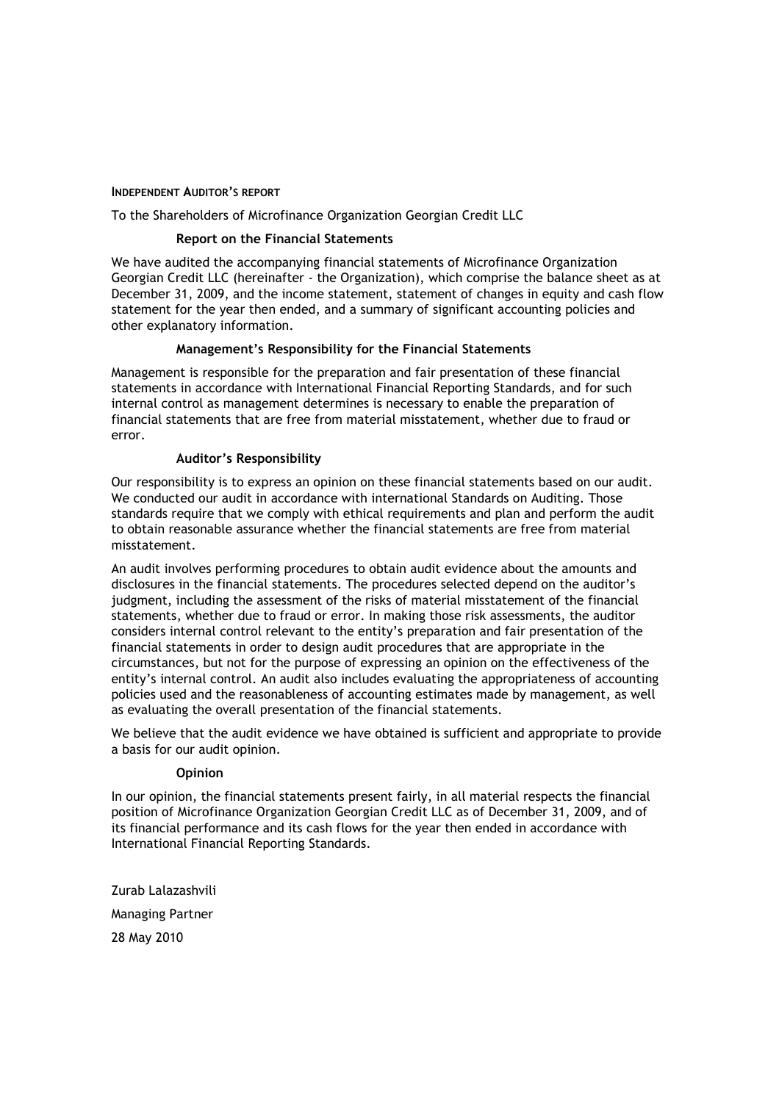#### **INDEPENDENT AUDITOR'S REPORT**

To the Shareholders of Microfinance Organization Georgian Credit LLC

#### **Report on the Financial Statements**

We have audited the accompanying financial statements of Microfinance Organization Georgian Credit LLC (hereinafter - the Organization), which comprise the balance sheet as at December 31, 2009, and the income statement, statement of changes in equity and cash flow statement for the year then ended, and a summary of significant accounting policies and other explanatory information.

#### Management's Responsibility for the Financial Statements

Management is responsible for the preparation and fair presentation of these financial statements in accordance with International Financial Reporting Standards, and for such internal control as management determines is necessary to enable the preparation of financial statements that are free from material misstatement, whether due to fraud or error.

#### **Auditor's Responsibility**

Our responsibility is to express an opinion on these financial statements based on our audit. We conducted our audit in accordance with international Standards on Auditing. Those standards require that we comply with ethical requirements and plan and perform the audit to obtain reasonable assurance whether the financial statements are free from material misstatement

An audit involves performing procedures to obtain audit evidence about the amounts and disclosures in the financial statements. The procedures selected depend on the auditor's judgment, including the assessment of the risks of material misstatement of the financial statements, whether due to fraud or error. In making those risk assessments, the auditor considers internal control relevant to the entity's preparation and fair presentation of the financial statements in order to design audit procedures that are appropriate in the circumstances, but not for the purpose of expressing an opinion on the effectiveness of the entity's internal control. An audit also includes evaluating the appropriateness of accounting policies used and the reasonableness of accounting estimates made by management, as well as evaluating the overall presentation of the financial statements.

We believe that the audit evidence we have obtained is sufficient and appropriate to provide a basis for our audit opinion.

#### Opinion

In our opinion, the financial statements present fairly, in all material respects the financial position of Microfinance Organization Georgian Credit LLC as of December 31, 2009, and of its financial performance and its cash flows for the year then ended in accordance with International Financial Reporting Standards.

Zurab Lalazashvili **Managing Partner** 28 May 2010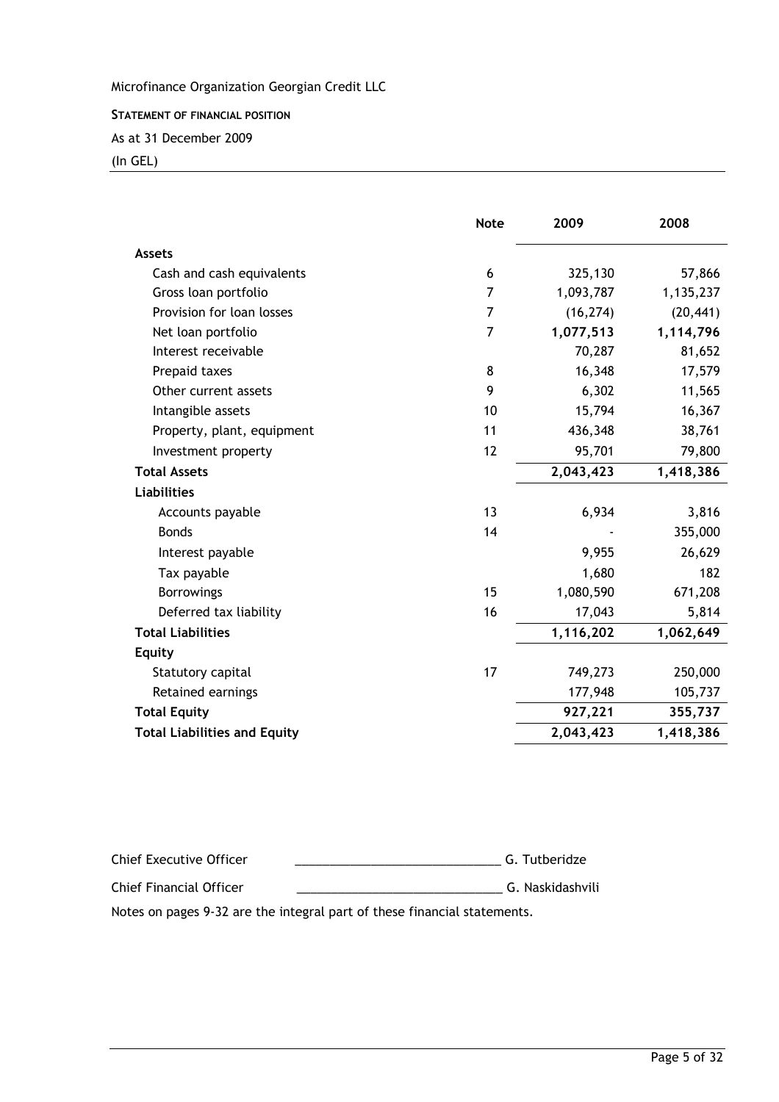STATEMENT OF FINANCIAL POSITION

As at 31 December 2009

(In GEL)

|                                     | <b>Note</b> | 2009      | 2008      |
|-------------------------------------|-------------|-----------|-----------|
| <b>Assets</b>                       |             |           |           |
| Cash and cash equivalents           | 6           | 325,130   | 57,866    |
| Gross loan portfolio                | 7           | 1,093,787 | 1,135,237 |
| Provision for loan losses           | 7           | (16, 274) | (20, 441) |
| Net loan portfolio                  | 7           | 1,077,513 | 1,114,796 |
| Interest receivable                 |             | 70,287    | 81,652    |
| Prepaid taxes                       | 8           | 16,348    | 17,579    |
| Other current assets                | 9           | 6,302     | 11,565    |
| Intangible assets                   | 10          | 15,794    | 16,367    |
| Property, plant, equipment          | 11          | 436,348   | 38,761    |
| Investment property                 | 12          | 95,701    | 79,800    |
| <b>Total Assets</b>                 |             | 2,043,423 | 1,418,386 |
| <b>Liabilities</b>                  |             |           |           |
| Accounts payable                    | 13          | 6,934     | 3,816     |
| <b>Bonds</b>                        | 14          |           | 355,000   |
| Interest payable                    |             | 9,955     | 26,629    |
| Tax payable                         |             | 1,680     | 182       |
| <b>Borrowings</b>                   | 15          | 1,080,590 | 671,208   |
| Deferred tax liability              | 16          | 17,043    | 5,814     |
| <b>Total Liabilities</b>            |             | 1,116,202 | 1,062,649 |
| <b>Equity</b>                       |             |           |           |
| Statutory capital                   | 17          | 749,273   | 250,000   |
| Retained earnings                   |             | 177,948   | 105,737   |
| <b>Total Equity</b>                 |             | 927,221   | 355,737   |
| <b>Total Liabilities and Equity</b> |             | 2,043,423 | 1,418,386 |

%12 =61< 221 GGGGGGGGGGGGGGGGGGGGGGGGGGGGGG & 61@ Chief Finan 1 0 221 GGGGGGGGGGGGGGGGGGGGGGGGGGGGGG & 5:1 5<101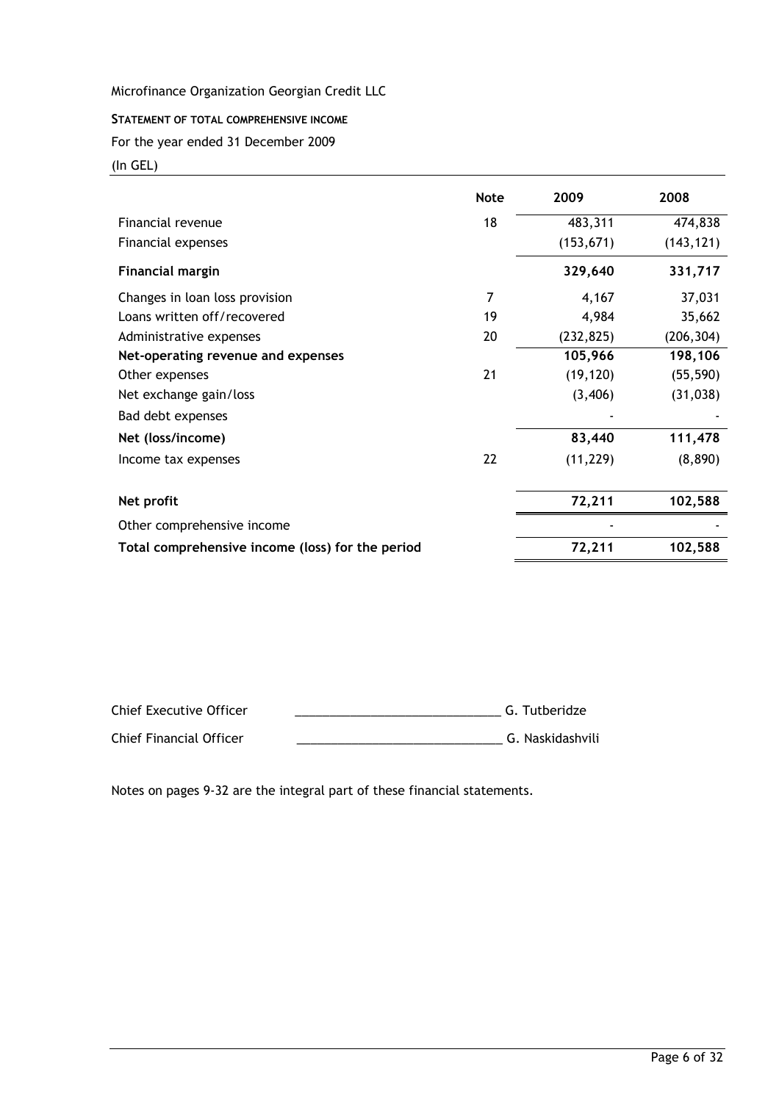# STATEMENT OF TOTAL COMPREHENSIVE INCOME

For the year ended 31 December 2009

(In GEL)

|                                                  | <b>Note</b> | 2009       | 2008       |
|--------------------------------------------------|-------------|------------|------------|
| Financial revenue                                | 18          | 483,311    | 474,838    |
| Financial expenses                               |             | (153, 671) | (143, 121) |
| <b>Financial margin</b>                          |             | 329,640    | 331,717    |
| Changes in loan loss provision                   | 7           | 4,167      | 37,031     |
| Loans written off/recovered                      | 19          | 4,984      | 35,662     |
| Administrative expenses                          | 20          | (232, 825) | (206, 304) |
| Net-operating revenue and expenses               |             | 105,966    | 198,106    |
| Other expenses                                   | 21          | (19, 120)  | (55, 590)  |
| Net exchange gain/loss                           |             | (3,406)    | (31, 038)  |
| Bad debt expenses                                |             |            |            |
| Net (loss/income)                                |             | 83,440     | 111,478    |
| Income tax expenses                              | 22          | (11, 229)  | (8,890)    |
| Net profit                                       |             | 72,211     | 102,588    |
| Other comprehensive income                       |             |            |            |
| Total comprehensive income (loss) for the period |             | 72,211     | 102,588    |

| Chief Executive Officer | G. Tutberidze    |
|-------------------------|------------------|
| Chief Financial Officer | G. Naskidashvili |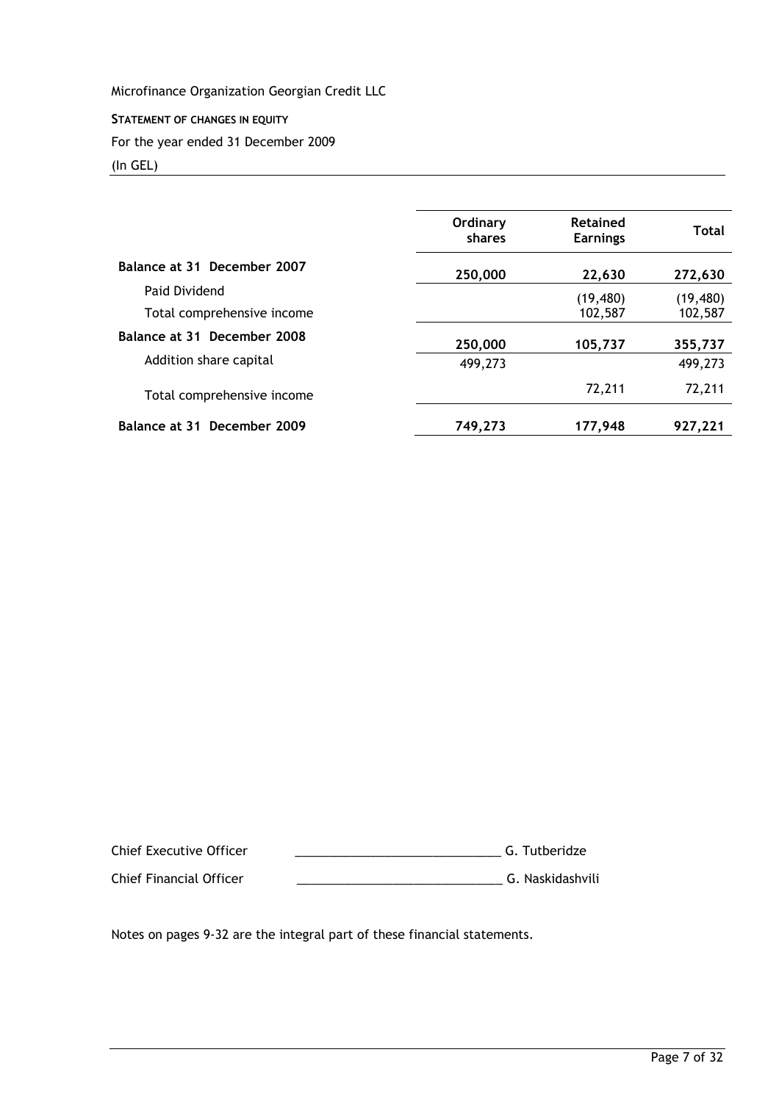STATEMENT OF CHANGES IN EQUITY For the year ended 31 December 2009 (In GEL)

|                             | Ordinary<br>shares | Retained<br><b>Earnings</b> | Total     |
|-----------------------------|--------------------|-----------------------------|-----------|
| Balance at 31 December 2007 | 250,000            | 22,630                      | 272,630   |
| Paid Dividend               |                    | (19, 480)                   | (19, 480) |
| Total comprehensive income  |                    | 102,587                     | 102,587   |
| Balance at 31 December 2008 | 250,000            | 105,737                     | 355,737   |
| Addition share capital      | 499,273            |                             | 499,273   |
| Total comprehensive income  |                    | 72,211                      | 72,211    |
| Balance at 31 December 2009 | 749,273            | 177,948                     | 927,221   |

%12 =61< 221 GGGGGGGGGGGGGGGGGGGGGGGGGGGGGG & 61@ Chief Finan 1 0 221 GGGGGGGGGGGGGGGGGGGGGGGGGGGGGG & 5:1 5<101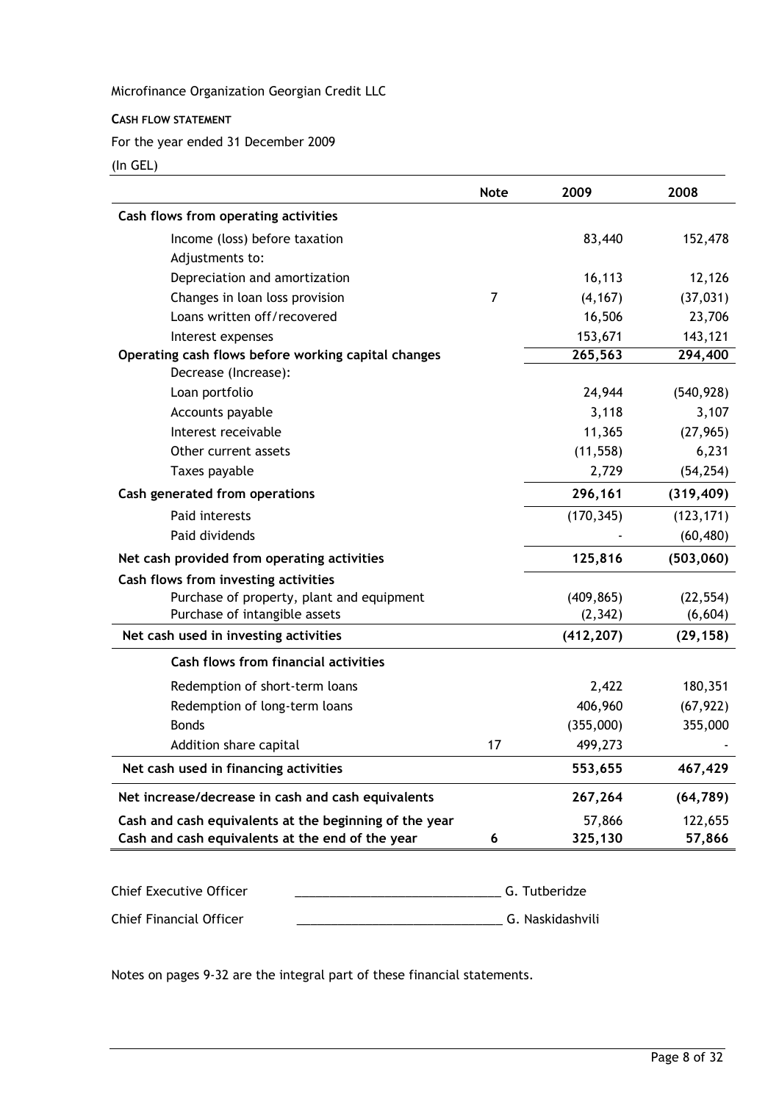#### **CASH FLOW STATEMENT**

For the year ended 31 December 2009

(In GEL)

|                                                        | <b>Note</b> | 2009       | 2008       |
|--------------------------------------------------------|-------------|------------|------------|
| Cash flows from operating activities                   |             |            |            |
| Income (loss) before taxation                          |             | 83,440     | 152,478    |
| Adjustments to:                                        |             |            |            |
| Depreciation and amortization                          |             | 16,113     | 12,126     |
| Changes in loan loss provision                         | 7           | (4, 167)   | (37, 031)  |
| Loans written off/recovered                            |             | 16,506     | 23,706     |
| Interest expenses                                      |             | 153,671    | 143,121    |
| Operating cash flows before working capital changes    |             | 265,563    | 294,400    |
| Decrease (Increase):                                   |             |            |            |
| Loan portfolio                                         |             | 24,944     | (540, 928) |
| Accounts payable                                       |             | 3,118      | 3,107      |
| Interest receivable                                    |             | 11,365     | (27, 965)  |
| Other current assets                                   |             | (11, 558)  | 6,231      |
| Taxes payable                                          |             | 2,729      | (54, 254)  |
| Cash generated from operations                         |             | 296,161    | (319, 409) |
| Paid interests                                         |             | (170, 345) | (123, 171) |
| Paid dividends                                         |             |            | (60, 480)  |
| Net cash provided from operating activities            |             | 125,816    | (503,060)  |
| Cash flows from investing activities                   |             |            |            |
| Purchase of property, plant and equipment              |             | (409, 865) | (22, 554)  |
| Purchase of intangible assets                          |             | (2, 342)   | (6,604)    |
| Net cash used in investing activities                  |             | (412, 207) | (29, 158)  |
| <b>Cash flows from financial activities</b>            |             |            |            |
| Redemption of short-term loans                         |             | 2,422      | 180,351    |
| Redemption of long-term loans                          |             | 406,960    | (67, 922)  |
| <b>Bonds</b>                                           |             | (355,000)  | 355,000    |
| Addition share capital                                 | 17          | 499,273    |            |
| Net cash used in financing activities                  |             | 553,655    | 467,429    |
| Net increase/decrease in cash and cash equivalents     |             | 267,264    | (64, 789)  |
| Cash and cash equivalents at the beginning of the year |             | 57,866     | 122,655    |
| Cash and cash equivalents at the end of the year       | 6           | 325,130    | 57,866     |

| Chief Executive Officer | G. Tutberidze    |  |
|-------------------------|------------------|--|
| Chief Financial Officer | G. Naskidashvili |  |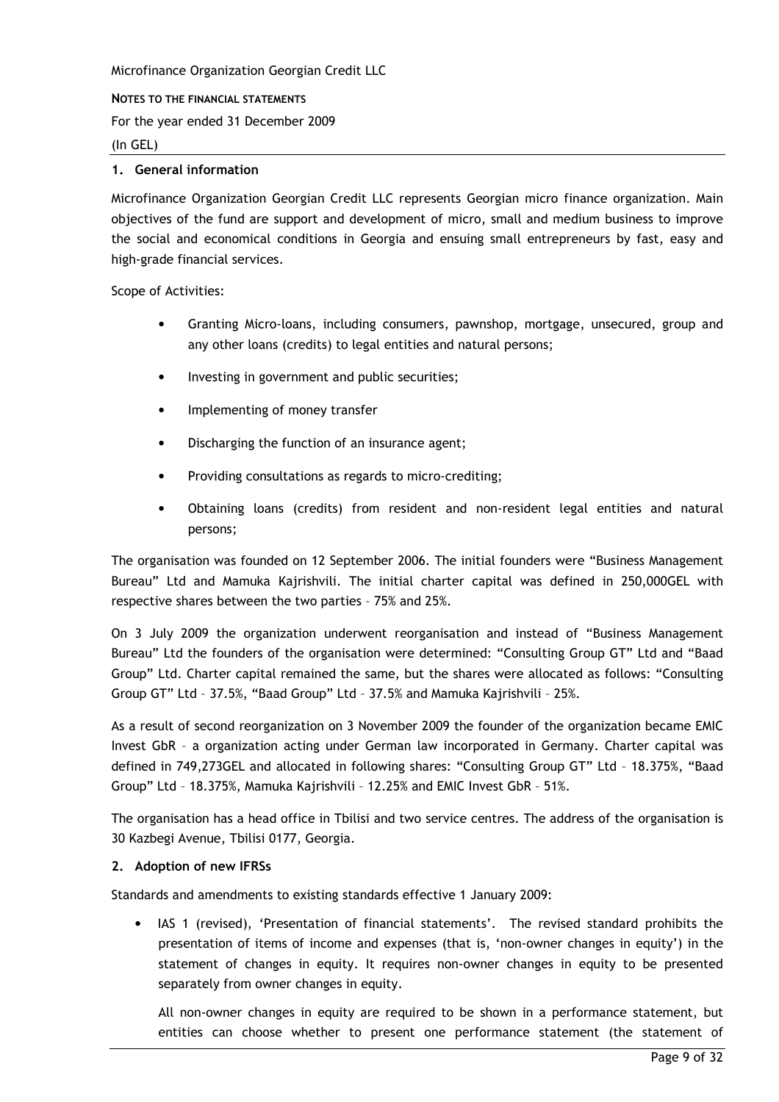#### NOTES TO THE FINANCIAL STATEMENTS

For the year ended 31 December 2009

 $(In GEL)$ 

# 1. General information

Microfinance Organization Georgian Credit LLC represents Georgian micro finance organization. Main objectives of the fund are support and development of micro, small and medium business to improve the social and economical conditions in Georgia and ensuing small entrepreneurs by fast, easy and high-grade financial services.

Scope of Activities:

- $\bullet$ Granting Micro-loans, including consumers, pawnshop, mortgage, unsecured, group and any other loans (credits) to legal entities and natural persons;
- $\bullet$ Investing in government and public securities;
- Implementing of money transfer  $\bullet$
- Discharging the function of an insurance agent;
- Providing consultations as regards to micro-crediting;  $\bullet$
- Obtaining loans (credits) from resident and non-resident legal entities and natural persons;

The organisation was founded on 12 September 2006. The initial founders were "Business Management Bureau" Ltd and Mamuka Kairishvili. The initial charter capital was defined in 250,000GEL with respective shares between the two parties - 75% and 25%.

On 3 July 2009 the organization underwent reorganisation and instead of "Business Management Bureau" Ltd the founders of the organisation were determined: "Consulting Group GT" Ltd and "Baad Group" Ltd. Charter capital remained the same, but the shares were allocated as follows: "Consulting Group GT" Ltd - 37.5%, "Baad Group" Ltd - 37.5% and Mamuka Kajrishvili - 25%.

As a result of second reorganization on 3 November 2009 the founder of the organization became EMIC Invest GbR - a organization acting under German law incorporated in Germany. Charter capital was defined in 749,273GEL and allocated in following shares: "Consulting Group GT" Ltd - 18.375%, "Baad Group" Ltd - 18.375%, Mamuka Kajrishvili - 12.25% and EMIC Invest GbR - 51%.

The organisation has a head office in Tbilisi and two service centres. The address of the organisation is 30 Kazbegi Avenue, Tbilisi 0177, Georgia.

#### 2. Adoption of new IFRSs

Standards and amendments to existing standards effective 1 January 2009:

IAS 1 (revised), 'Presentation of financial statements'. The revised standard prohibits the presentation of items of income and expenses (that is, 'non-owner changes in equity') in the statement of changes in equity. It requires non-owner changes in equity to be presented separately from owner changes in equity.

All non-owner changes in equity are required to be shown in a performance statement, but entities can choose whether to present one performance statement (the statement of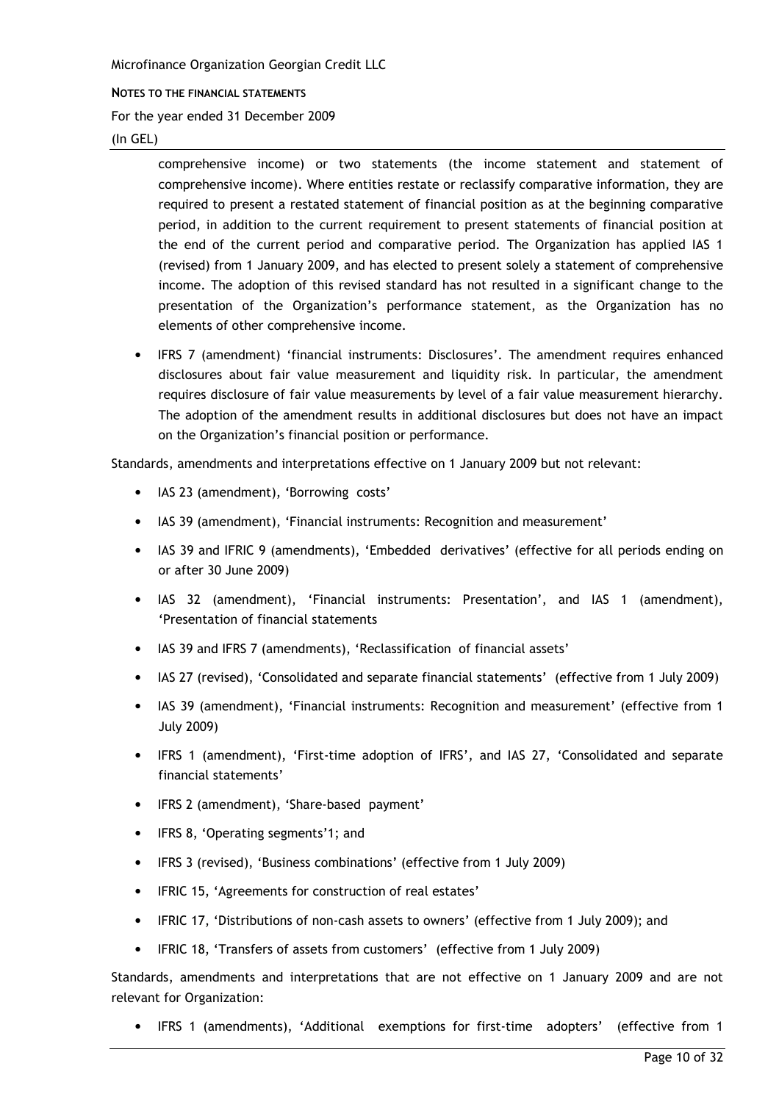#### NOTES TO THE FINANCIAL STATEMENTS

For the year ended 31 December 2009

 $(In GEL)$ 

comprehensive income) or two statements (the income statement and statement of comprehensive income). Where entities restate or reclassify comparative information, they are required to present a restated statement of financial position as at the beginning comparative period, in addition to the current requirement to present statements of financial position at the end of the current period and comparative period. The Organization has applied IAS 1 (revised) from 1 January 2009, and has elected to present solely a statement of comprehensive income. The adoption of this revised standard has not resulted in a significant change to the presentation of the Organization's performance statement, as the Organization has no elements of other comprehensive income.

• IFRS 7 (amendment) 'financial instruments: Disclosures'. The amendment requires enhanced disclosures about fair value measurement and liquidity risk. In particular, the amendment requires disclosure of fair value measurements by level of a fair value measurement hierarchy. The adoption of the amendment results in additional disclosures but does not have an impact on the Organization's financial position or performance.

Standards, amendments and interpretations effective on 1 January 2009 but not relevant:

- IAS 23 (amendment), 'Borrowing costs'
- IAS 39 (amendment), 'Financial instruments: Recognition and measurement'
- IAS 39 and IFRIC 9 (amendments), 'Embedded derivatives' (effective for all periods ending on or after 30 June 2009)
- IAS 32 (amendment), 'Financial instruments: Presentation', and IAS 1 (amendment), 'Presentation of financial statements
- IAS 39 and IFRS 7 (amendments), 'Reclassification of financial assets'
- IAS 27 (revised), 'Consolidated and separate financial statements' (effective from 1 July 2009)
- IAS 39 (amendment), 'Financial instruments: Recognition and measurement' (effective from 1 **July 2009)**
- IFRS 1 (amendment), 'First-time adoption of IFRS', and IAS 27, 'Consolidated and separate financial statements'
- IFRS 2 (amendment), 'Share-based payment'
- IFRS 8, 'Operating segments'1; and
- IFRS 3 (revised), 'Business combinations' (effective from 1 July 2009)
- IFRIC 15, 'Agreements for construction of real estates'
- IFRIC 17, 'Distributions of non-cash assets to owners' (effective from 1 July 2009); and
- IFRIC 18, 'Transfers of assets from customers' (effective from 1 July 2009)  $\bullet$

Standards, amendments and interpretations that are not effective on 1 January 2009 and are not relevant for Organization:

• IFRS 1 (amendments), 'Additional exemptions for first-time adopters' (effective from 1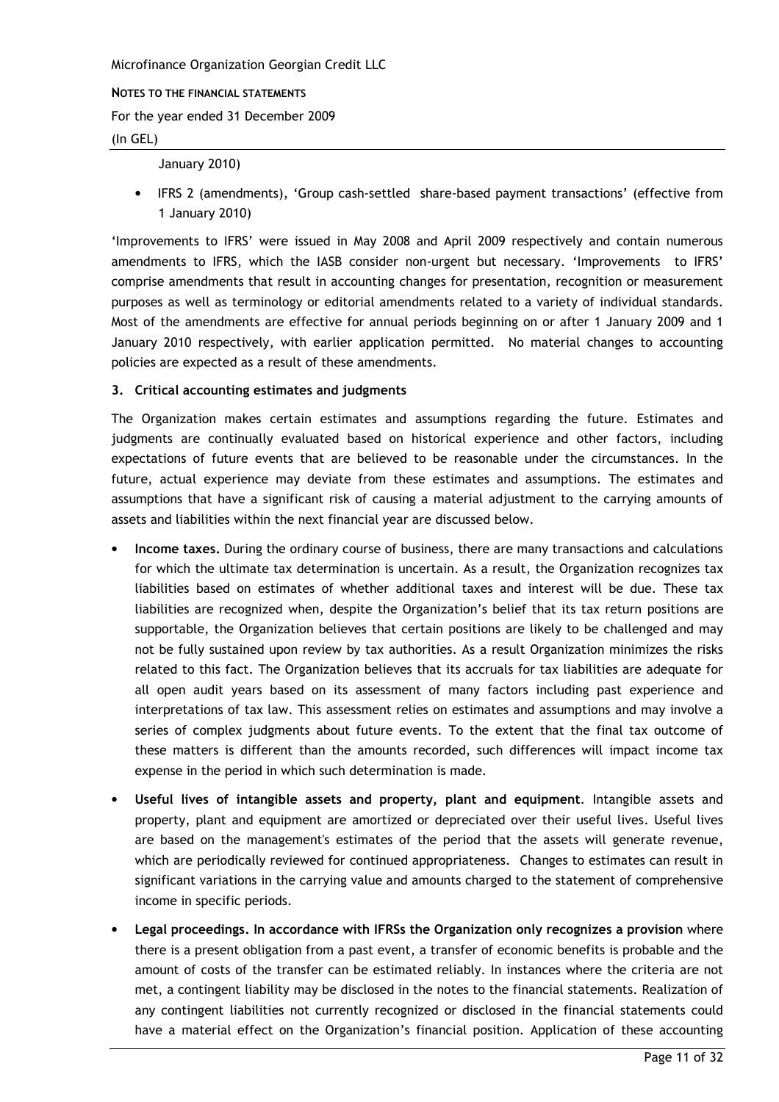NOTES TO THE FINANCIAL STATEMENTS

For the year ended 31 December 2009

#### $(In GEL)$

#### January 2010)

IFRS 2 (amendments), 'Group cash-settled share-based payment transactions' (effective from 1 January 2010)

'Improvements to IFRS' were issued in May 2008 and April 2009 respectively and contain numerous amendments to IFRS, which the IASB consider non-urgent but necessary. 'Improvements to IFRS' comprise amendments that result in accounting changes for presentation, recognition or measurement purposes as well as terminology or editorial amendments related to a variety of individual standards. Most of the amendments are effective for annual periods beginning on or after 1 January 2009 and 1 January 2010 respectively, with earlier application permitted. No material changes to accounting policies are expected as a result of these amendments.

# 3. Critical accounting estimates and judgments

The Organization makes certain estimates and assumptions regarding the future. Estimates and judgments are continually evaluated based on historical experience and other factors, including expectations of future events that are believed to be reasonable under the circumstances. In the future, actual experience may deviate from these estimates and assumptions. The estimates and assumptions that have a significant risk of causing a material adjustment to the carrying amounts of assets and liabilities within the next financial year are discussed below.

- Income taxes. During the ordinary course of business, there are many transactions and calculations for which the ultimate tax determination is uncertain. As a result, the Organization recognizes tax liabilities based on estimates of whether additional taxes and interest will be due. These tax liabilities are recognized when, despite the Organization's belief that its tax return positions are supportable, the Organization believes that certain positions are likely to be challenged and may not be fully sustained upon review by tax authorities. As a result Organization minimizes the risks related to this fact. The Organization believes that its accruals for tax liabilities are adequate for all open audit years based on its assessment of many factors including past experience and interpretations of tax law. This assessment relies on estimates and assumptions and may involve a series of complex judgments about future events. To the extent that the final tax outcome of these matters is different than the amounts recorded, such differences will impact income tax expense in the period in which such determination is made.
- Useful lives of intangible assets and property, plant and equipment. Intangible assets and property, plant and equipment are amortized or depreciated over their useful lives. Useful lives are based on the management's estimates of the period that the assets will generate revenue, which are periodically reviewed for continued appropriateness. Changes to estimates can result in significant variations in the carrying value and amounts charged to the statement of comprehensive income in specific periods.
- Legal proceedings, In accordance with IFRSs the Organization only recognizes a provision where there is a present obligation from a past event, a transfer of economic benefits is probable and the amount of costs of the transfer can be estimated reliably. In instances where the criteria are not met, a contingent liability may be disclosed in the notes to the financial statements. Realization of any contingent liabilities not currently recognized or disclosed in the financial statements could have a material effect on the Organization's financial position. Application of these accounting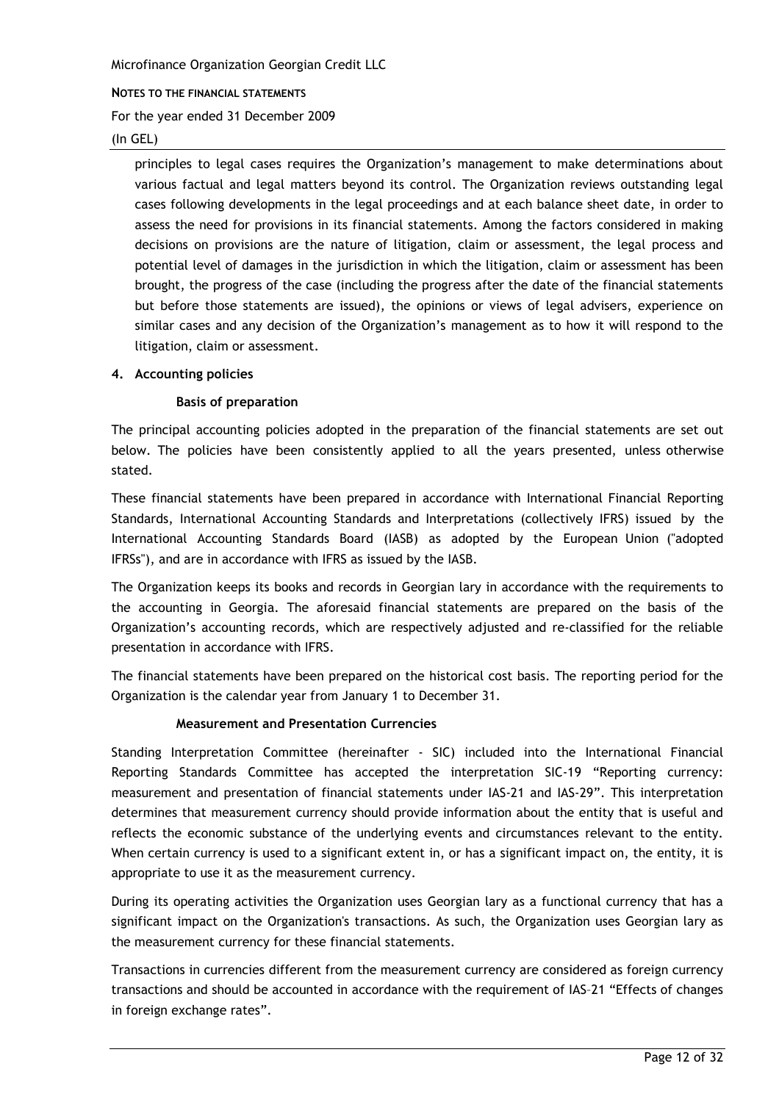NOTES TO THE FINANCIAL STATEMENTS

For the year ended 31 December 2009

#### $(In GEL)$

principles to legal cases requires the Organization's management to make determinations about various factual and legal matters beyond its control. The Organization reviews outstanding legal cases following developments in the legal proceedings and at each balance sheet date, in order to assess the need for provisions in its financial statements. Among the factors considered in making decisions on provisions are the nature of litigation, claim or assessment, the legal process and potential level of damages in the jurisdiction in which the litigation, claim or assessment has been brought, the progress of the case (including the progress after the date of the financial statements but before those statements are issued), the opinions or views of legal advisers, experience on similar cases and any decision of the Organization's management as to how it will respond to the litigation, claim or assessment.

#### 4. Accounting policies

# **Basis of preparation**

The principal accounting policies adopted in the preparation of the financial statements are set out below. The policies have been consistently applied to all the years presented, unless otherwise stated.

These financial statements have been prepared in accordance with International Financial Reporting Standards, International Accounting Standards and Interpretations (collectively IFRS) issued by the International Accounting Standards Board (IASB) as adopted by the European Union ("adopted IFRSs"), and are in accordance with IFRS as issued by the IASB.

The Organization keeps its books and records in Georgian lary in accordance with the requirements to the accounting in Georgia. The aforesaid financial statements are prepared on the basis of the Organization's accounting records, which are respectively adjusted and re-classified for the reliable presentation in accordance with IFRS.

The financial statements have been prepared on the historical cost basis. The reporting period for the Organization is the calendar year from January 1 to December 31.

# **Measurement and Presentation Currencies**

Standing Interpretation Committee (hereinafter - SIC) included into the International Financial Reporting Standards Committee has accepted the interpretation SIC-19 "Reporting currency: measurement and presentation of financial statements under IAS-21 and IAS-29". This interpretation determines that measurement currency should provide information about the entity that is useful and reflects the economic substance of the underlying events and circumstances relevant to the entity. When certain currency is used to a significant extent in, or has a significant impact on, the entity, it is appropriate to use it as the measurement currency.

During its operating activities the Organization uses Georgian lary as a functional currency that has a significant impact on the Organization's transactions. As such, the Organization uses Georgian lary as the measurement currency for these financial statements.

Transactions in currencies different from the measurement currency are considered as foreign currency transactions and should be accounted in accordance with the requirement of IAS-21 "Effects of changes in foreign exchange rates".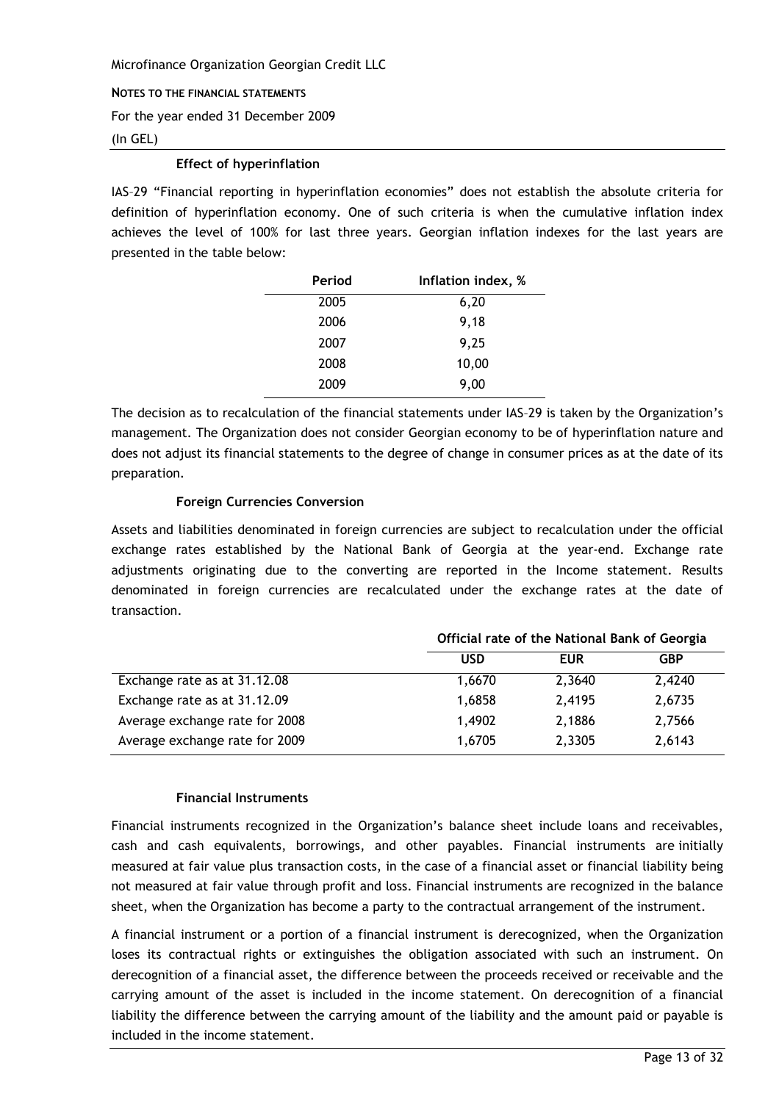NOTES TO THE FINANCIAL STATEMENTS

For the year ended 31 December 2009

#### $(In GEL)$

## **Effect of hyperinflation**

IAS-29 "Financial reporting in hyperinflation economies" does not establish the absolute criteria for definition of hyperinflation economy. One of such criteria is when the cumulative inflation index achieves the level of 100% for last three years. Georgian inflation indexes for the last years are presented in the table below:

| Period | Inflation index, % |
|--------|--------------------|
| 2005   | 6,20               |
| 2006   | 9,18               |
| 2007   | 9,25               |
| 2008   | 10,00              |
| 2009   | 9,00               |

The decision as to recalculation of the financial statements under IAS-29 is taken by the Organization's management. The Organization does not consider Georgian economy to be of hyperinflation nature and does not adjust its financial statements to the degree of change in consumer prices as at the date of its preparation.

# **Foreign Currencies Conversion**

Assets and liabilities denominated in foreign currencies are subject to recalculation under the official exchange rates established by the National Bank of Georgia at the year-end. Exchange rate adjustments originating due to the converting are reported in the Income statement. Results denominated in foreign currencies are recalculated under the exchange rates at the date of transaction.

 $\sim$   $\sim$   $\sim$ 

 $\mathbf{z}$  and  $\mathbf{z}$  and  $\mathbf{z}$ 

 $\sim$ 

|                                | Official rate of the National Bank of Georgia |            |            |
|--------------------------------|-----------------------------------------------|------------|------------|
|                                | USD                                           | <b>EUR</b> | <b>GBP</b> |
| Exchange rate as at 31.12.08   | 1,6670                                        | 2,3640     | 2,4240     |
| Exchange rate as at 31.12.09   | 1,6858                                        | 2,4195     | 2,6735     |
| Average exchange rate for 2008 | 1,4902                                        | 2,1886     | 2,7566     |
| Average exchange rate for 2009 | 1,6705                                        | 2,3305     | 2,6143     |

# **Financial Instruments**

Financial instruments recognized in the Organization's balance sheet include loans and receivables, cash and cash equivalents, borrowings, and other payables. Financial instruments are initially measured at fair value plus transaction costs, in the case of a financial asset or financial liability being not measured at fair value through profit and loss. Financial instruments are recognized in the balance sheet, when the Organization has become a party to the contractual arrangement of the instrument.

A financial instrument or a portion of a financial instrument is derecognized, when the Organization loses its contractual rights or extinguishes the obligation associated with such an instrument. On derecognition of a financial asset, the difference between the proceeds received or receivable and the carrying amount of the asset is included in the income statement. On derecognition of a financial liability the difference between the carrying amount of the liability and the amount paid or payable is included in the income statement.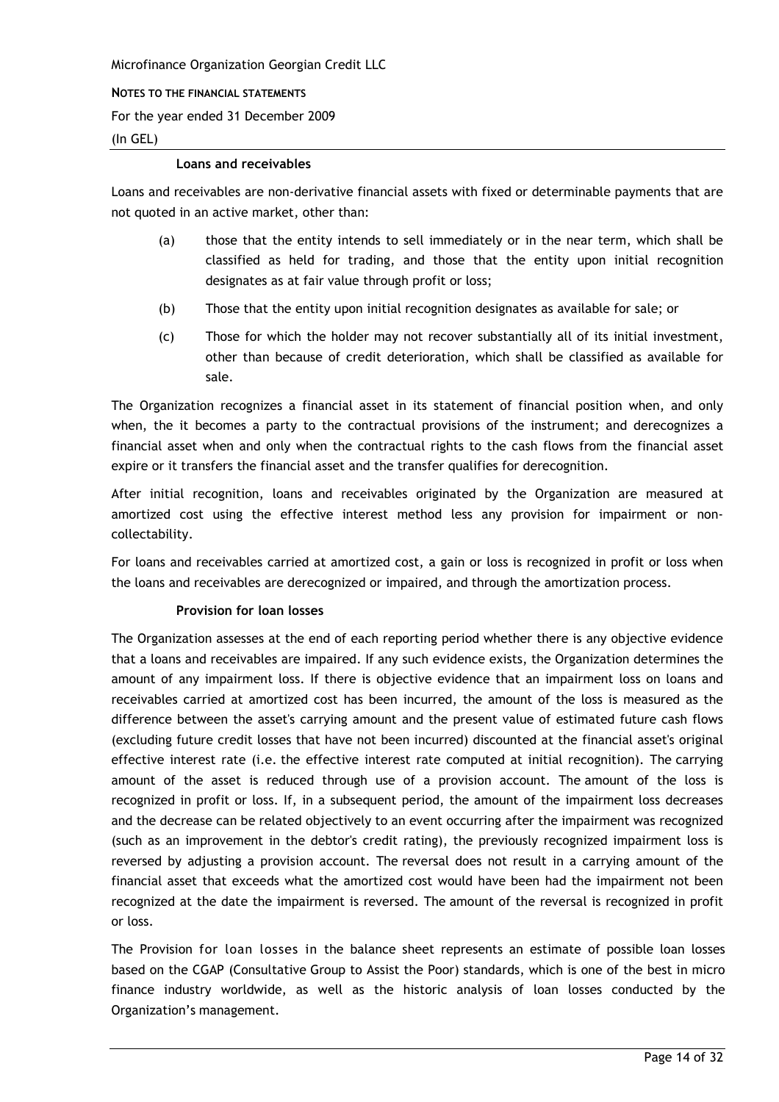NOTES TO THE FINANCIAL STATEMENTS

For the year ended 31 December 2009

#### $(In GEL)$

#### **Loans and receivables**

Loans and receivables are non-derivative financial assets with fixed or determinable payments that are not quoted in an active market, other than:

- those that the entity intends to sell immediately or in the near term, which shall be  $(a)$ classified as held for trading, and those that the entity upon initial recognition designates as at fair value through profit or loss;
- $(b)$ Those that the entity upon initial recognition designates as available for sale; or
- Those for which the holder may not recover substantially all of its initial investment,  $(c)$ other than because of credit deterioration, which shall be classified as available for sale.

The Organization recognizes a financial asset in its statement of financial position when, and only when, the it becomes a party to the contractual provisions of the instrument; and derecognizes a financial asset when and only when the contractual rights to the cash flows from the financial asset expire or it transfers the financial asset and the transfer qualifies for derecognition.

After initial recognition, loans and receivables originated by the Organization are measured at amortized cost using the effective interest method less any provision for impairment or noncollectability.

For loans and receivables carried at amortized cost, a gain or loss is recognized in profit or loss when the loans and receivables are derecognized or impaired, and through the amortization process.

# Provision for loan losses

The Organization assesses at the end of each reporting period whether there is any objective evidence that a loans and receivables are impaired. If any such evidence exists, the Organization determines the amount of any impairment loss. If there is objective evidence that an impairment loss on loans and receivables carried at amortized cost has been incurred, the amount of the loss is measured as the difference between the asset's carrying amount and the present value of estimated future cash flows (excluding future credit losses that have not been incurred) discounted at the financial asset's original effective interest rate (i.e. the effective interest rate computed at initial recognition). The carrying amount of the asset is reduced through use of a provision account. The amount of the loss is recognized in profit or loss. If, in a subsequent period, the amount of the impairment loss decreases and the decrease can be related objectively to an event occurring after the impairment was recognized (such as an improvement in the debtor's credit rating), the previously recognized impairment loss is reversed by adjusting a provision account. The reversal does not result in a carrying amount of the financial asset that exceeds what the amortized cost would have been had the impairment not been recognized at the date the impairment is reversed. The amount of the reversal is recognized in profit or loss.

The Provision for loan losses in the balance sheet represents an estimate of possible loan losses based on the CGAP (Consultative Group to Assist the Poor) standards, which is one of the best in micro finance industry worldwide, as well as the historic analysis of loan losses conducted by the Organization's management.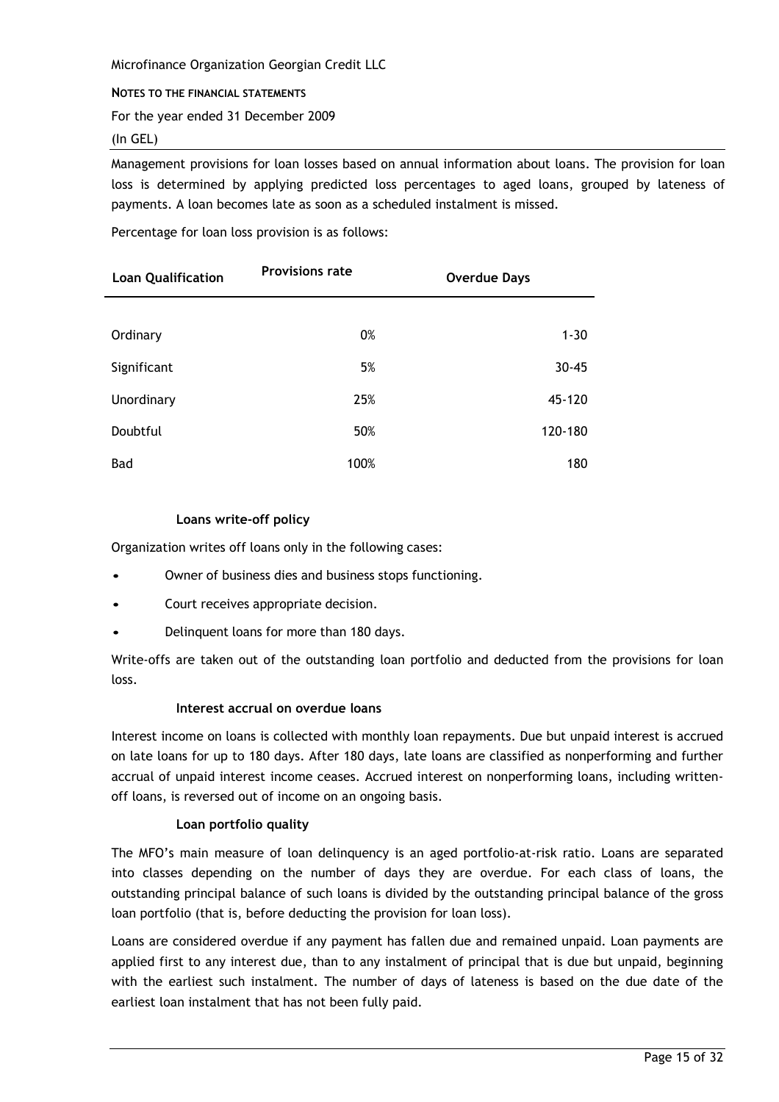#### NOTES TO THE FINANCIAL STATEMENTS

For the year ended 31 December 2009

### $(In GEL)$

Management provisions for loan losses based on annual information about loans. The provision for loan loss is determined by applying predicted loss percentages to aged loans, grouped by lateness of payments. A loan becomes late as soon as a scheduled instalment is missed.

Percentage for loan loss provision is as follows:

| <b>Loan Qualification</b> | <b>Provisions rate</b> | <b>Overdue Days</b> |
|---------------------------|------------------------|---------------------|
|                           |                        |                     |
| Ordinary                  | 0%                     | $1 - 30$            |
| Significant               | 5%                     | $30 - 45$           |
| Unordinary                | 25%                    | 45-120              |
| Doubtful                  | 50%                    | 120-180             |
| Bad                       | 100%                   | 180                 |

# Loans write-off policy

Organization writes off loans only in the following cases:

- Owner of business dies and business stops functioning.
- Court receives appropriate decision.
- Delinguent loans for more than 180 days.

Write-offs are taken out of the outstanding loan portfolio and deducted from the provisions for loan loss.

# Interest accrual on overdue loans

Interest income on loans is collected with monthly loan repayments. Due but unpaid interest is accrued on late loans for up to 180 days. After 180 days, late loans are classified as nonperforming and further accrual of unpaid interest income ceases. Accrued interest on nonperforming loans, including writtenoff loans, is reversed out of income on an ongoing basis.

# Loan portfolio quality

The MFO's main measure of loan delinguency is an aged portfolio-at-risk ratio. Loans are separated into classes depending on the number of days they are overdue. For each class of loans, the outstanding principal balance of such loans is divided by the outstanding principal balance of the gross loan portfolio (that is, before deducting the provision for loan loss).

Loans are considered overdue if any payment has fallen due and remained unpaid. Loan payments are applied first to any interest due, than to any instalment of principal that is due but unpaid, beginning with the earliest such instalment. The number of days of lateness is based on the due date of the earliest loan instalment that has not been fully paid.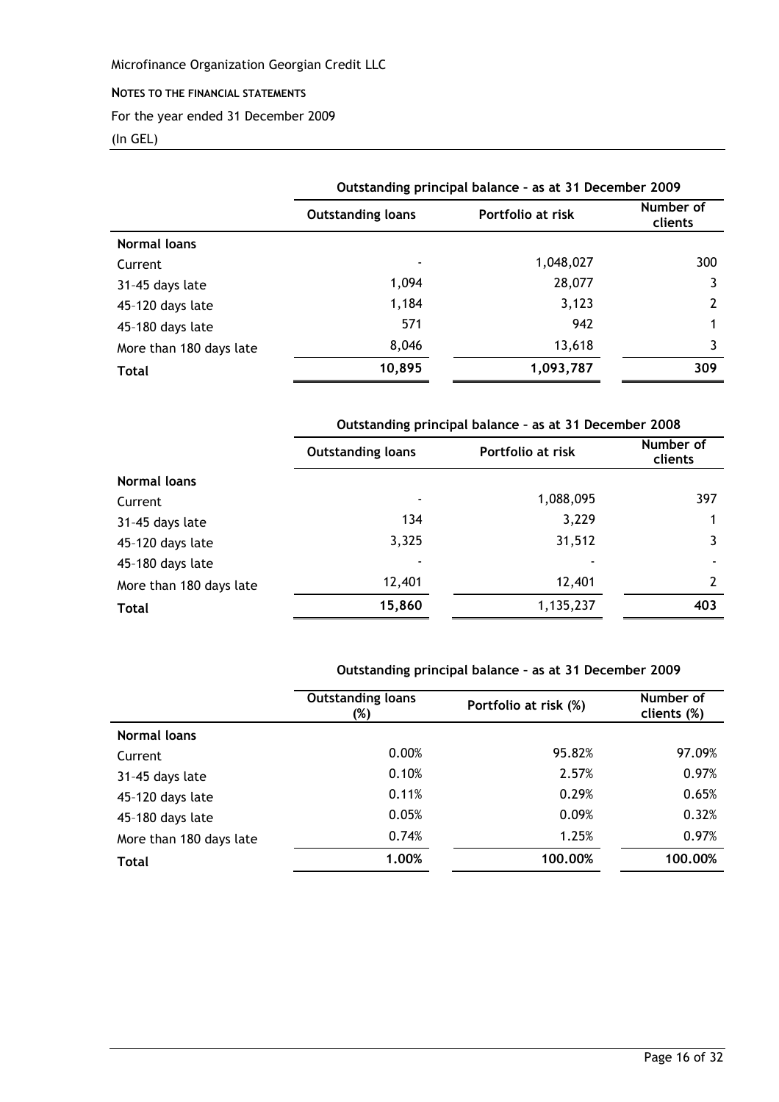#### NOTES TO THE FINANCIAL STATEMENTS

For the year ended 31 December 2009

# (In GEL)

|                         | Outstanding principal balance - as at 31 December 2009 |                   |                      |
|-------------------------|--------------------------------------------------------|-------------------|----------------------|
|                         | <b>Outstanding loans</b>                               | Portfolio at risk | Number of<br>clients |
| Normal loans            |                                                        |                   |                      |
| Current                 |                                                        | 1,048,027         | 300                  |
| 31-45 days late         | 1,094                                                  | 28,077            |                      |
| 45-120 days late        | 1,184                                                  | 3,123             |                      |
| 45-180 days late        | 571                                                    | 942               |                      |
| More than 180 days late | 8,046                                                  | 13,618            | 3                    |
| <b>Total</b>            | 10,895                                                 | 1,093,787         | 309                  |

# Outstanding principal balance - as at 31 December 2008

|                         | <b>Outstanding loans</b> | Portfolio at risk | Number of<br>clients |
|-------------------------|--------------------------|-------------------|----------------------|
| Normal loans            |                          |                   |                      |
| Current                 | $\overline{\phantom{0}}$ | 1,088,095         | 397                  |
| 31-45 days late         | 134                      | 3,229             |                      |
| 45-120 days late        | 3,325                    | 31,512            |                      |
| 45-180 days late        |                          |                   | ٠                    |
| More than 180 days late | 12,401                   | 12,401            | 2                    |
| <b>Total</b>            | 15,860                   | 1,135,237         | 403                  |

# Outstanding principal balance - as at 31 December 2009

|                         | <b>Outstanding loans</b><br>(%) | Portfolio at risk (%) | Number of<br>clients (%) |
|-------------------------|---------------------------------|-----------------------|--------------------------|
| Normal loans            |                                 |                       |                          |
| Current                 | 0.00%                           | 95.82%                | 97.09%                   |
| 31-45 days late         | 0.10%                           | 2.57%                 | 0.97%                    |
| 45-120 days late        | 0.11%                           | 0.29%                 | 0.65%                    |
| 45-180 days late        | 0.05%                           | 0.09%                 | 0.32%                    |
| More than 180 days late | 0.74%                           | 1.25%                 | 0.97%                    |
| <b>Total</b>            | 1.00%                           | 100.00%               | 100.00%                  |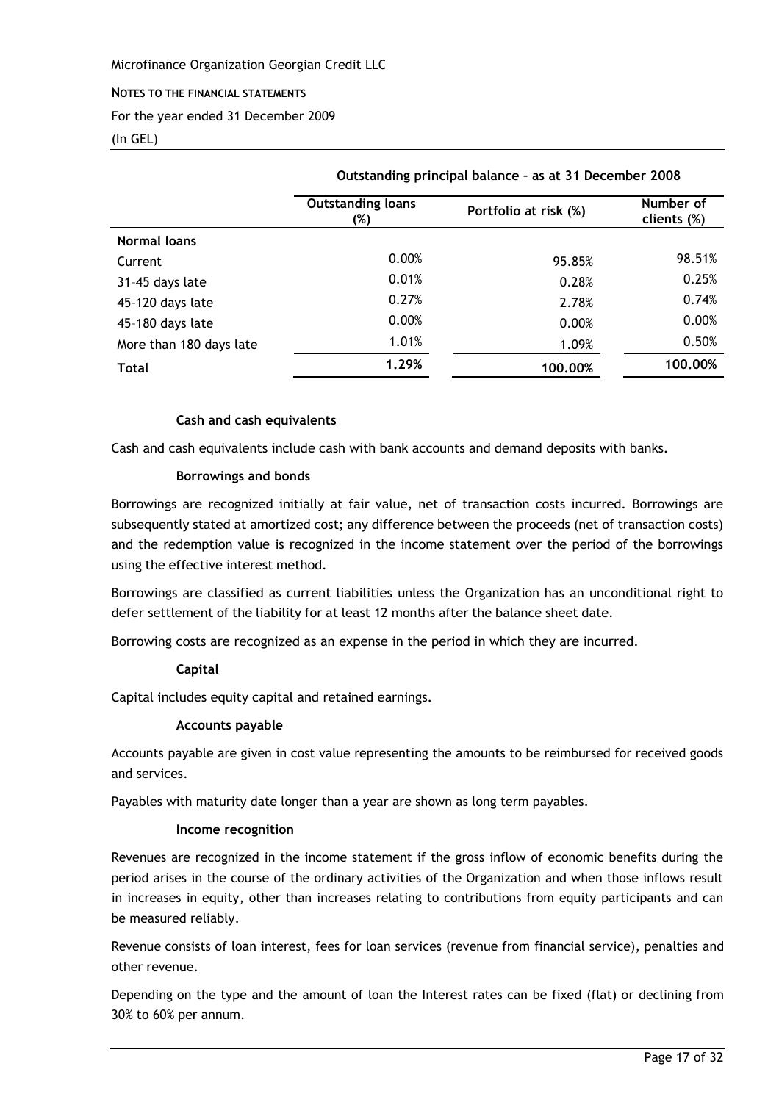#### NOTES TO THE FINANCIAL STATEMENTS

For the year ended 31 December 2009

#### $(In GEL)$

|                         | Outstanding principal balance - as at 31 December 2008 |                       |                          |  |
|-------------------------|--------------------------------------------------------|-----------------------|--------------------------|--|
|                         | <b>Outstanding loans</b><br>(%)                        | Portfolio at risk (%) | Number of<br>clients (%) |  |
| <b>Normal loans</b>     |                                                        |                       |                          |  |
| Current                 | 0.00%                                                  | 95.85%                | 98.51%                   |  |
| 31-45 days late         | 0.01%                                                  | 0.28%                 | 0.25%                    |  |
| 45-120 days late        | 0.27%                                                  | 2.78%                 | 0.74%                    |  |
| 45-180 days late        | 0.00%                                                  | 0.00%                 | 0.00%                    |  |
| More than 180 days late | 1.01%                                                  | 1.09%                 | 0.50%                    |  |
| <b>Total</b>            | 1.29%                                                  | 100.00%               | 100.00%                  |  |

and a state of the state of

#### Cash and cash equivalents

Cash and cash equivalents include cash with bank accounts and demand deposits with banks.

#### **Borrowings and bonds**

Borrowings are recognized initially at fair value, net of transaction costs incurred. Borrowings are subsequently stated at amortized cost; any difference between the proceeds (net of transaction costs) and the redemption value is recognized in the income statement over the period of the borrowings using the effective interest method.

Borrowings are classified as current liabilities unless the Organization has an unconditional right to defer settlement of the liability for at least 12 months after the balance sheet date.

Borrowing costs are recognized as an expense in the period in which they are incurred.

#### Capital

Capital includes equity capital and retained earnings.

#### **Accounts payable**

Accounts payable are given in cost value representing the amounts to be reimbursed for received goods and services.

Payables with maturity date longer than a year are shown as long term payables.

#### Income recognition

Revenues are recognized in the income statement if the gross inflow of economic benefits during the period arises in the course of the ordinary activities of the Organization and when those inflows result in increases in equity, other than increases relating to contributions from equity participants and can be measured reliably.

Revenue consists of loan interest, fees for loan services (revenue from financial service), penalties and other revenue.

Depending on the type and the amount of loan the Interest rates can be fixed (flat) or declining from 30% to 60% per annum.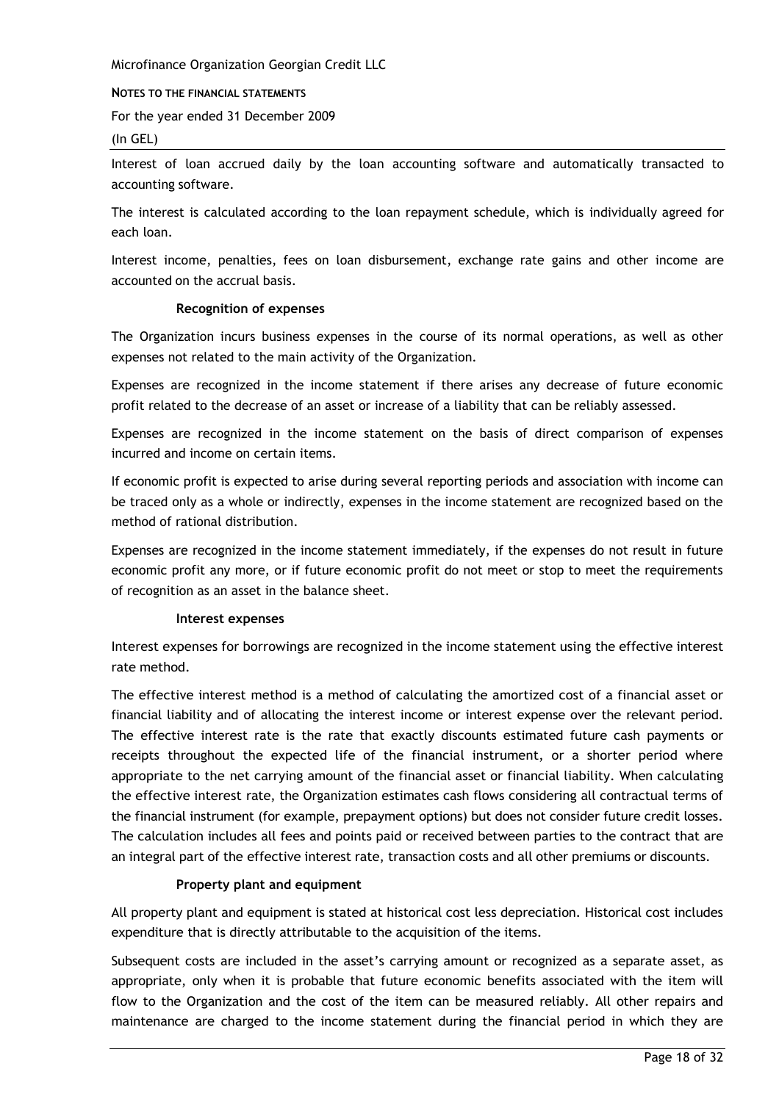#### NOTES TO THE FINANCIAL STATEMENTS

For the year ended 31 December 2009

#### $(In GEL)$

Interest of loan accrued daily by the loan accounting software and automatically transacted to accounting software.

The interest is calculated according to the loan repayment schedule, which is individually agreed for each loan.

Interest income, penalties, fees on loan disbursement, exchange rate gains and other income are accounted on the accrual basis.

#### **Recognition of expenses**

The Organization incurs business expenses in the course of its normal operations, as well as other expenses not related to the main activity of the Organization.

Expenses are recognized in the income statement if there arises any decrease of future economic profit related to the decrease of an asset or increase of a liability that can be reliably assessed.

Expenses are recognized in the income statement on the basis of direct comparison of expenses incurred and income on certain items.

If economic profit is expected to arise during several reporting periods and association with income can be traced only as a whole or indirectly, expenses in the income statement are recognized based on the method of rational distribution.

Expenses are recognized in the income statement immediately, if the expenses do not result in future economic profit any more, or if future economic profit do not meet or stop to meet the requirements of recognition as an asset in the balance sheet.

#### Interest expenses

Interest expenses for borrowings are recognized in the income statement using the effective interest rate method.

The effective interest method is a method of calculating the amortized cost of a financial asset or financial liability and of allocating the interest income or interest expense over the relevant period. The effective interest rate is the rate that exactly discounts estimated future cash payments or receipts throughout the expected life of the financial instrument, or a shorter period where appropriate to the net carrying amount of the financial asset or financial liability. When calculating the effective interest rate, the Organization estimates cash flows considering all contractual terms of the financial instrument (for example, prepayment options) but does not consider future credit losses. The calculation includes all fees and points paid or received between parties to the contract that are an integral part of the effective interest rate, transaction costs and all other premiums or discounts.

#### Property plant and equipment

All property plant and equipment is stated at historical cost less depreciation. Historical cost includes expenditure that is directly attributable to the acquisition of the items.

Subsequent costs are included in the asset's carrying amount or recognized as a separate asset, as appropriate, only when it is probable that future economic benefits associated with the item will flow to the Organization and the cost of the item can be measured reliably. All other repairs and maintenance are charged to the income statement during the financial period in which they are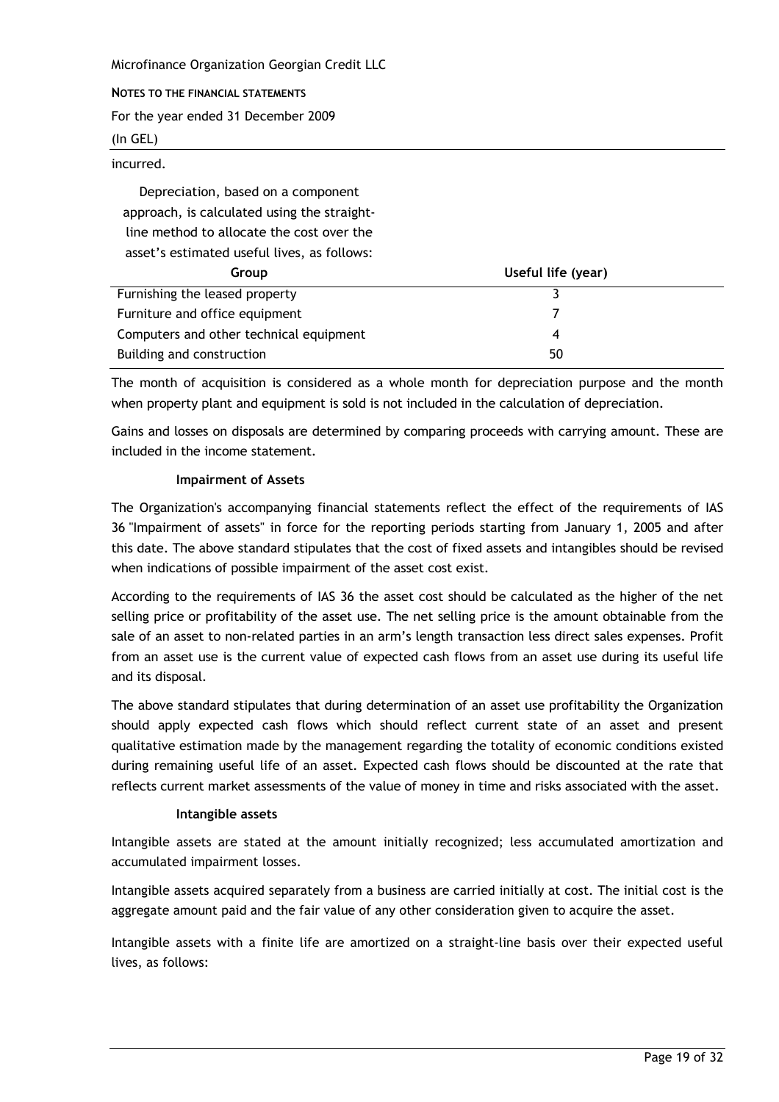Microfinance Organization Georgian Credit LLC NOTES TO THE FINANCIAL STATEMENTS For the year ended 31 December 2009  $(In GEL)$ 

incurred.

Depreciation, based on a component approach, is calculated using the straightline method to allocate the cost over the asset's estimated useful lives, as follows:

| Group                                   | Useful life (year) |
|-----------------------------------------|--------------------|
| Furnishing the leased property          |                    |
| Furniture and office equipment          |                    |
| Computers and other technical equipment |                    |
| Building and construction               | 50                 |

The month of acquisition is considered as a whole month for depreciation purpose and the month when property plant and equipment is sold is not included in the calculation of depreciation.

Gains and losses on disposals are determined by comparing proceeds with carrying amount. These are included in the income statement.

#### **Impairment of Assets**

The Organization's accompanying financial statements reflect the effect of the requirements of IAS 36 "Impairment of assets" in force for the reporting periods starting from January 1, 2005 and after this date. The above standard stipulates that the cost of fixed assets and intangibles should be revised when indications of possible impairment of the asset cost exist.

According to the requirements of IAS 36 the asset cost should be calculated as the higher of the net selling price or profitability of the asset use. The net selling price is the amount obtainable from the sale of an asset to non-related parties in an arm's length transaction less direct sales expenses. Profit from an asset use is the current value of expected cash flows from an asset use during its useful life and its disposal.

The above standard stipulates that during determination of an asset use profitability the Organization should apply expected cash flows which should reflect current state of an asset and present qualitative estimation made by the management regarding the totality of economic conditions existed during remaining useful life of an asset. Expected cash flows should be discounted at the rate that reflects current market assessments of the value of money in time and risks associated with the asset.

#### Intangible assets

Intangible assets are stated at the amount initially recognized; less accumulated amortization and accumulated impairment losses.

Intangible assets acquired separately from a business are carried initially at cost. The initial cost is the aggregate amount paid and the fair value of any other consideration given to acquire the asset.

Intangible assets with a finite life are amortized on a straight-line basis over their expected useful lives, as follows: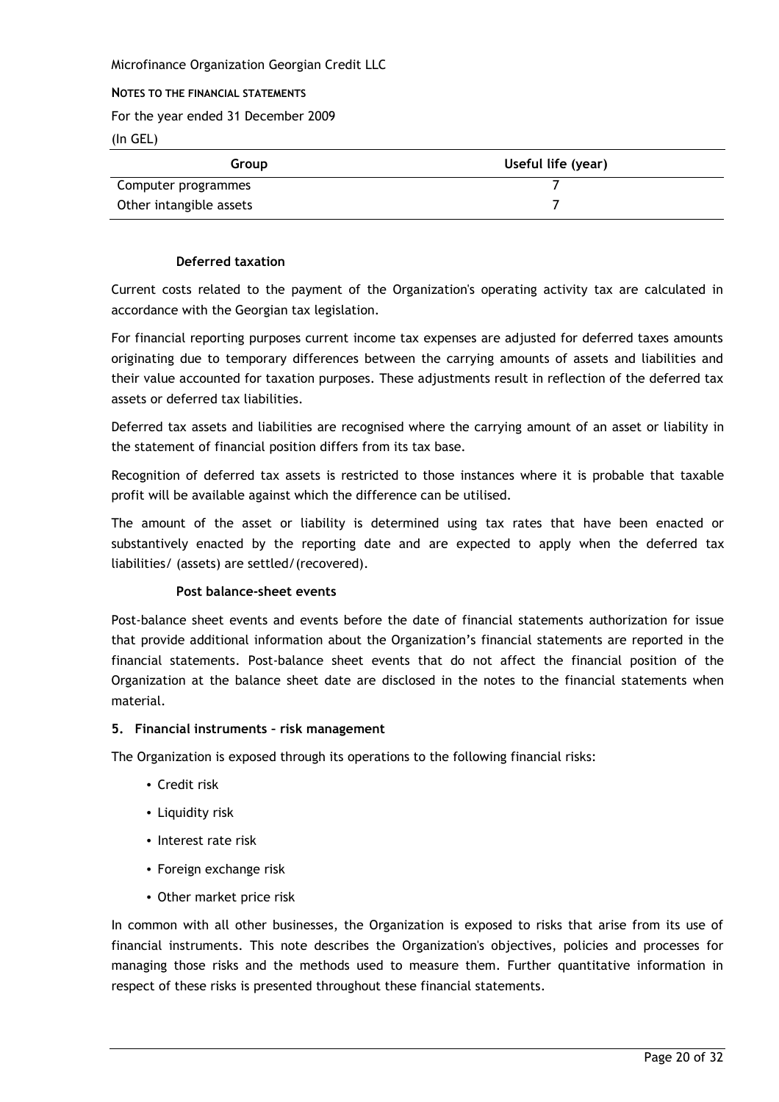#### NOTES TO THE FINANCIAL STATEMENTS

For the year ended 31 December 2009

 $(In GEL)$ 

| Group                   | Useful life (year) |
|-------------------------|--------------------|
| Computer programmes     |                    |
| Other intangible assets |                    |

# **Deferred taxation**

Current costs related to the payment of the Organization's operating activity tax are calculated in accordance with the Georgian tax legislation.

For financial reporting purposes current income tax expenses are adjusted for deferred taxes amounts originating due to temporary differences between the carrying amounts of assets and liabilities and their value accounted for taxation purposes. These adjustments result in reflection of the deferred tax assets or deferred tax liabilities.

Deferred tax assets and liabilities are recognised where the carrying amount of an asset or liability in the statement of financial position differs from its tax base.

Recognition of deferred tax assets is restricted to those instances where it is probable that taxable profit will be available against which the difference can be utilised.

The amount of the asset or liability is determined using tax rates that have been enacted or substantively enacted by the reporting date and are expected to apply when the deferred tax liabilities/ (assets) are settled/(recovered).

#### Post balance-sheet events

Post-balance sheet events and events before the date of financial statements authorization for issue that provide additional information about the Organization's financial statements are reported in the financial statements. Post-balance sheet events that do not affect the financial position of the Organization at the balance sheet date are disclosed in the notes to the financial statements when material.

#### 5. Financial instruments - risk management

The Organization is exposed through its operations to the following financial risks:

- Credit risk
- Liquidity risk
- Interest rate risk
- Foreign exchange risk
- Other market price risk

In common with all other businesses, the Organization is exposed to risks that arise from its use of financial instruments. This note describes the Organization's objectives, policies and processes for managing those risks and the methods used to measure them. Further quantitative information in respect of these risks is presented throughout these financial statements.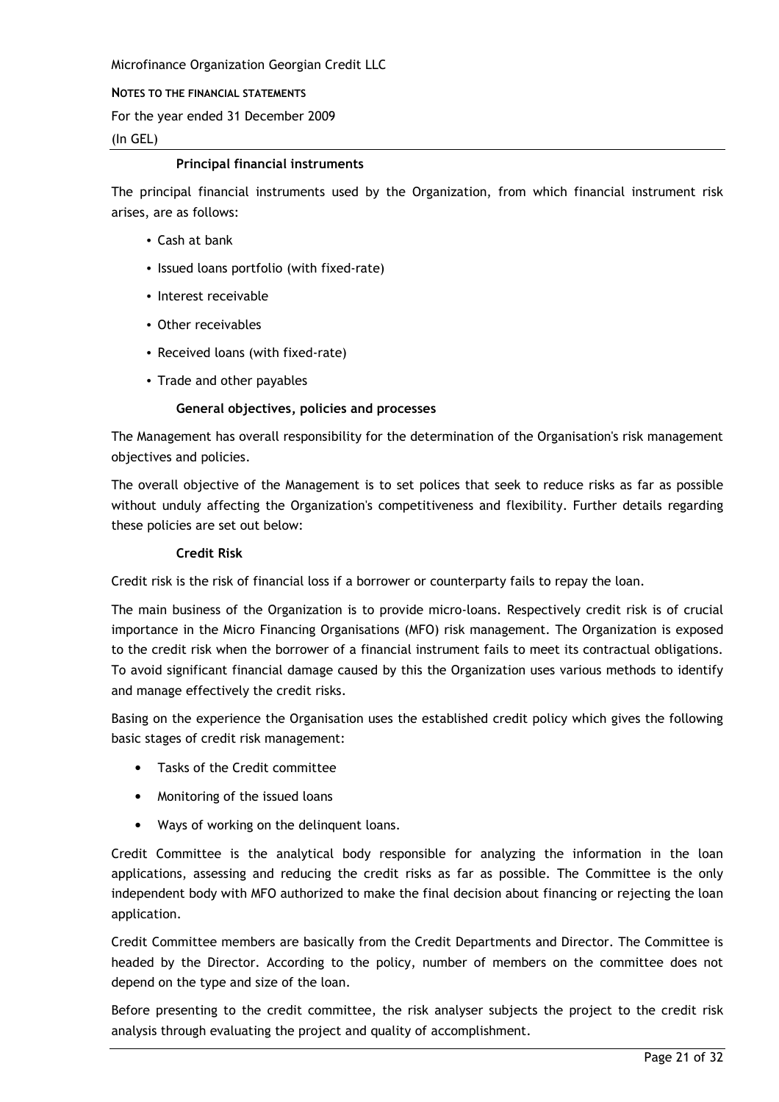NOTES TO THE FINANCIAL STATEMENTS

For the year ended 31 December 2009

 $(In GEL)$ 

#### **Principal financial instruments**

The principal financial instruments used by the Organization, from which financial instrument risk arises, are as follows:

- Cash at bank
- Issued loans portfolio (with fixed-rate)
- Interest receivable
- Other receivables
- Received loans (with fixed-rate)
- Trade and other payables

#### General objectives, policies and processes

The Management has overall responsibility for the determination of the Organisation's risk management objectives and policies.

The overall objective of the Management is to set polices that seek to reduce risks as far as possible without unduly affecting the Organization's competitiveness and flexibility. Further details regarding these policies are set out below:

#### **Credit Risk**

Credit risk is the risk of financial loss if a borrower or counterparty fails to repay the loan.

The main business of the Organization is to provide micro-loans. Respectively credit risk is of crucial importance in the Micro Financing Organisations (MFO) risk management. The Organization is exposed to the credit risk when the borrower of a financial instrument fails to meet its contractual obligations. To avoid significant financial damage caused by this the Organization uses various methods to identify and manage effectively the credit risks.

Basing on the experience the Organisation uses the established credit policy which gives the following basic stages of credit risk management:

- Tasks of the Credit committee
- Monitoring of the issued loans
- Ways of working on the delinguent loans.

Credit Committee is the analytical body responsible for analyzing the information in the loan applications, assessing and reducing the credit risks as far as possible. The Committee is the only independent body with MFO authorized to make the final decision about financing or rejecting the loan application.

Credit Committee members are basically from the Credit Departments and Director. The Committee is headed by the Director. According to the policy, number of members on the committee does not depend on the type and size of the loan.

Before presenting to the credit committee, the risk analyser subjects the project to the credit risk analysis through evaluating the project and quality of accomplishment.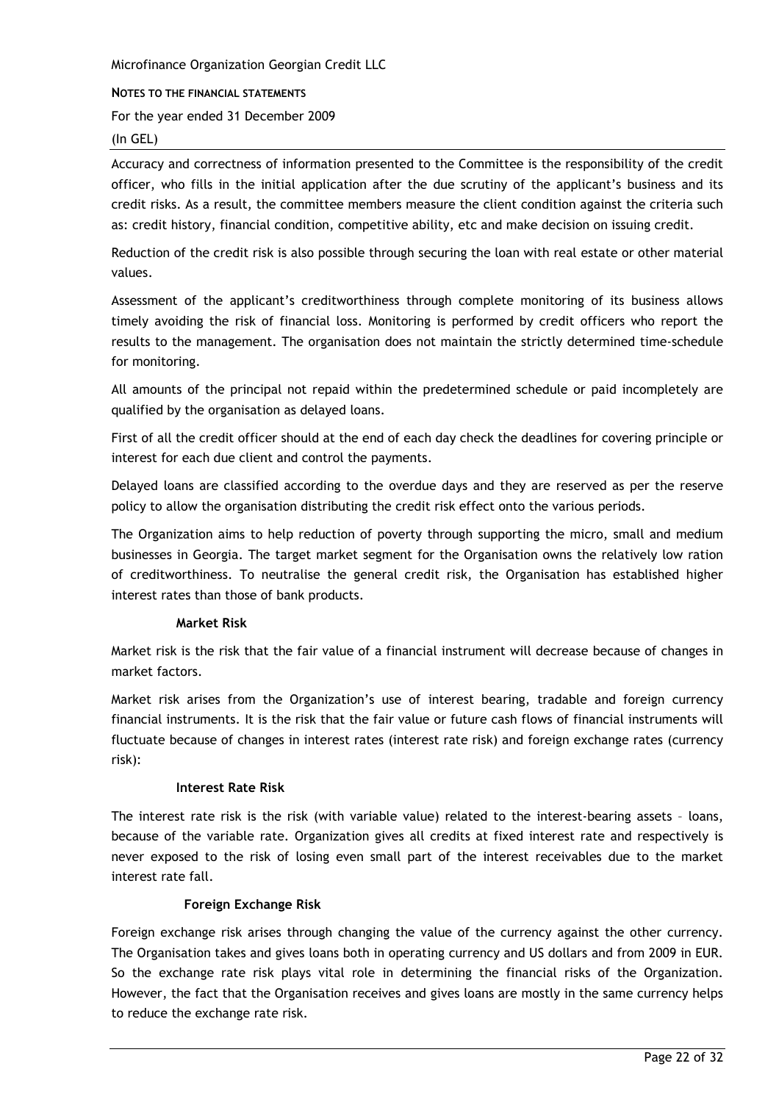#### NOTES TO THE FINANCIAL STATEMENTS

For the year ended 31 December 2009

#### $(In GEL)$

Accuracy and correctness of information presented to the Committee is the responsibility of the credit officer, who fills in the initial application after the due scrutiny of the applicant's business and its credit risks. As a result, the committee members measure the client condition against the criteria such as: credit history, financial condition, competitive ability, etc and make decision on issuing credit.

Reduction of the credit risk is also possible through securing the loan with real estate or other material values.

Assessment of the applicant's creditworthiness through complete monitoring of its business allows timely avoiding the risk of financial loss. Monitoring is performed by credit officers who report the results to the management. The organisation does not maintain the strictly determined time-schedule for monitoring.

All amounts of the principal not repaid within the predetermined schedule or paid incompletely are qualified by the organisation as delayed loans.

First of all the credit officer should at the end of each day check the deadlines for covering principle or interest for each due client and control the payments.

Delayed loans are classified according to the overdue days and they are reserved as per the reserve policy to allow the organisation distributing the credit risk effect onto the various periods.

The Organization aims to help reduction of poverty through supporting the micro, small and medium businesses in Georgia. The target market segment for the Organisation owns the relatively low ration of creditworthiness. To neutralise the general credit risk, the Organisation has established higher interest rates than those of bank products.

#### **Market Risk**

Market risk is the risk that the fair value of a financial instrument will decrease because of changes in market factors.

Market risk arises from the Organization's use of interest bearing, tradable and foreign currency financial instruments. It is the risk that the fair value or future cash flows of financial instruments will fluctuate because of changes in interest rates (interest rate risk) and foreign exchange rates (currency risk):

#### **Interest Rate Risk**

The interest rate risk is the risk (with variable value) related to the interest-bearing assets - loans. because of the variable rate. Organization gives all credits at fixed interest rate and respectively is never exposed to the risk of losing even small part of the interest receivables due to the market interest rate fall.

#### **Foreign Exchange Risk**

Foreign exchange risk arises through changing the value of the currency against the other currency. The Organisation takes and gives loans both in operating currency and US dollars and from 2009 in EUR. So the exchange rate risk plays vital role in determining the financial risks of the Organization. However, the fact that the Organisation receives and gives loans are mostly in the same currency helps to reduce the exchange rate risk.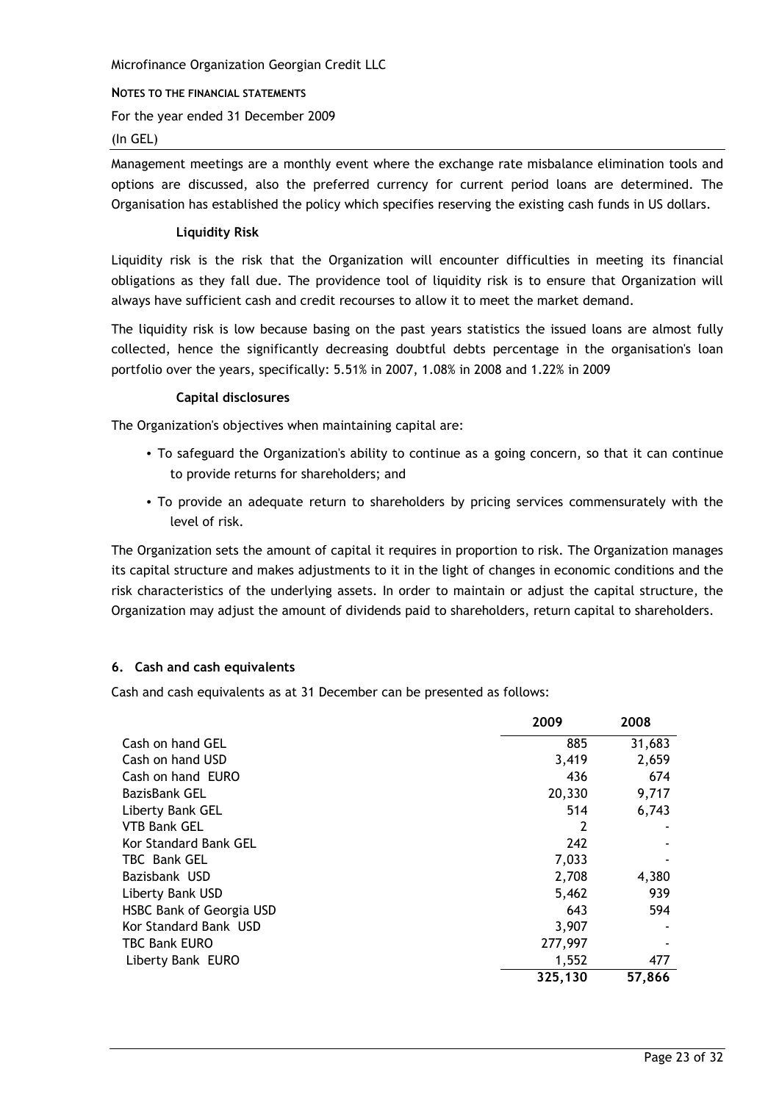NOTES TO THE FINANCIAL STATEMENTS

For the year ended 31 December 2009

#### $(In GEL)$

Management meetings are a monthly event where the exchange rate misbalance elimination tools and options are discussed, also the preferred currency for current period loans are determined. The Organisation has established the policy which specifies reserving the existing cash funds in US dollars.

#### **Liquidity Risk**

Liquidity risk is the risk that the Organization will encounter difficulties in meeting its financial obligations as they fall due. The providence tool of liquidity risk is to ensure that Organization will always have sufficient cash and credit recourses to allow it to meet the market demand.

The liquidity risk is low because basing on the past years statistics the issued loans are almost fully collected, hence the significantly decreasing doubtful debts percentage in the organisation's loan portfolio over the years, specifically: 5.51% in 2007, 1.08% in 2008 and 1.22% in 2009

# **Capital disclosures**

The Organization's objectives when maintaining capital are:

- To safeguard the Organization's ability to continue as a going concern, so that it can continue to provide returns for shareholders; and
- To provide an adequate return to shareholders by pricing services commensurately with the level of risk.

The Organization sets the amount of capital it requires in proportion to risk. The Organization manages its capital structure and makes adjustments to it in the light of changes in economic conditions and the risk characteristics of the underlying assets. In order to maintain or adjust the capital structure, the Organization may adjust the amount of dividends paid to shareholders, return capital to shareholders.

#### 6. Cash and cash equivalents

Cash and cash equivalents as at 31 December can be presented as follows:

|                                 | 2009    | 2008   |
|---------------------------------|---------|--------|
| Cash on hand GEL                | 885     | 31,683 |
| Cash on hand USD                | 3,419   | 2,659  |
| Cash on hand EURO               | 436     | 674    |
| <b>BazisBank GEL</b>            | 20,330  | 9,717  |
| Liberty Bank GEL                | 514     | 6,743  |
| <b>VTB Bank GEL</b>             | 2       |        |
| Kor Standard Bank GEL           | 242     |        |
| TBC Bank GEL                    | 7,033   |        |
| Bazisbank USD                   | 2,708   | 4,380  |
| Liberty Bank USD                | 5,462   | 939    |
| <b>HSBC Bank of Georgia USD</b> | 643     | 594    |
| Kor Standard Bank USD           | 3,907   |        |
| TBC Bank EURO                   | 277,997 |        |
| Liberty Bank EURO               | 1,552   | 477    |
|                                 | 325,130 | 57,866 |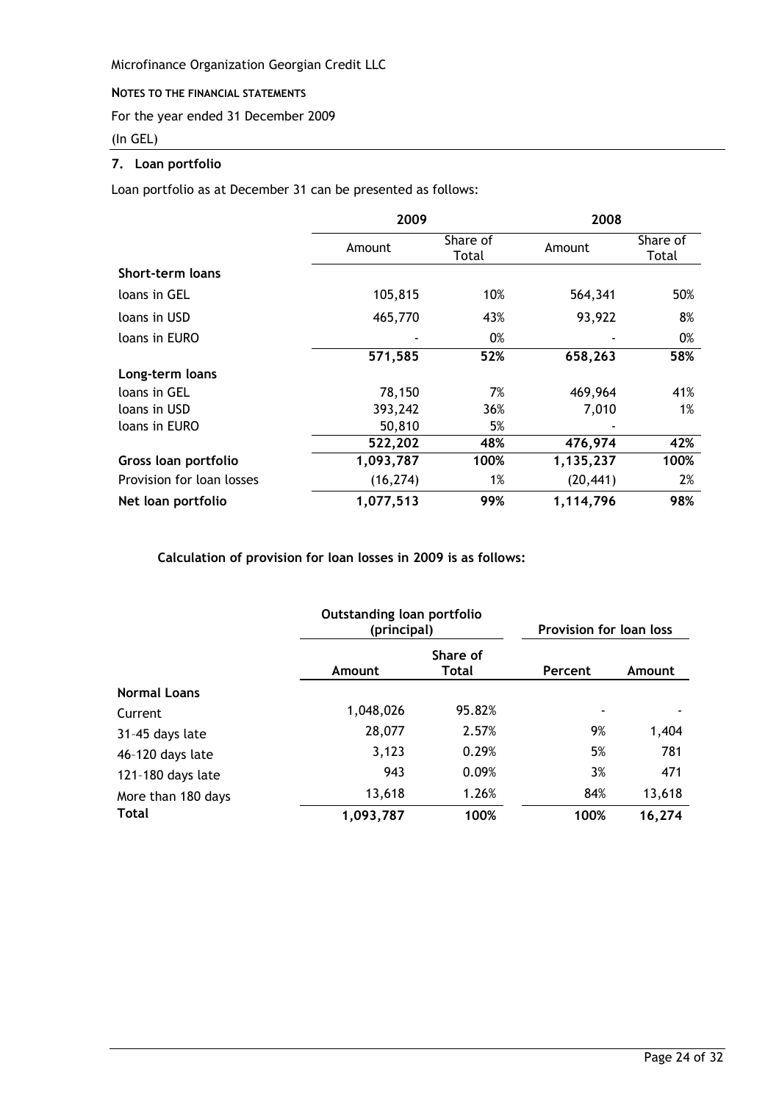#### NOTES TO THE FINANCIAL STATEMENTS

For the year ended 31 December 2009

#### (In GEL)

# 7. Loan portfolio

Loan portfolio as at December 31 can be presented as follows:

|                           | 2009      |                   | 2008      |                   |  |
|---------------------------|-----------|-------------------|-----------|-------------------|--|
|                           | Amount    | Share of<br>Total | Amount    | Share of<br>Total |  |
| Short-term loans          |           |                   |           |                   |  |
| loans in GEL              | 105,815   | 10%               | 564,341   | 50%               |  |
| loans in USD              | 465,770   | 43%               | 93,922    | 8%                |  |
| loans in EURO             |           | 0%                |           | 0%                |  |
|                           | 571,585   | 52%               | 658,263   | 58%               |  |
| Long-term loans           |           |                   |           |                   |  |
| loans in GEL              | 78,150    | 7%                | 469,964   | 41%               |  |
| loans in USD              | 393,242   | 36%               | 7,010     | 1%                |  |
| loans in EURO             | 50,810    | 5%                |           |                   |  |
|                           | 522,202   | 48%               | 476,974   | 42%               |  |
| Gross loan portfolio      | 1,093,787 | 100%              | 1,135,237 | 100%              |  |
| Provision for loan losses | (16, 274) | 1%                | (20, 441) | 2%                |  |
| Net loan portfolio        | 1,077,513 | 99%               | 1,114,796 | 98%               |  |

Calculation of provision for loan losses in 2009 is as follows:

|                     | Outstanding loan portfolio<br>(principal) |                   | Provision for loan loss |        |
|---------------------|-------------------------------------------|-------------------|-------------------------|--------|
|                     | Amount                                    | Share of<br>Total | Percent                 | Amount |
| <b>Normal Loans</b> |                                           |                   |                         |        |
| Current             | 1,048,026                                 | 95.82%            |                         |        |
| 31-45 days late     | 28,077                                    | 2.57%             | 9%                      | 1,404  |
| 46-120 days late    | 3,123                                     | 0.29%             | 5%                      | 781    |
| 121-180 days late   | 943                                       | 0.09%             | 3%                      | 471    |
| More than 180 days  | 13,618                                    | 1.26%             | 84%                     | 13,618 |
| <b>Total</b>        | 1,093,787                                 | 100%              | 100%                    | 16,274 |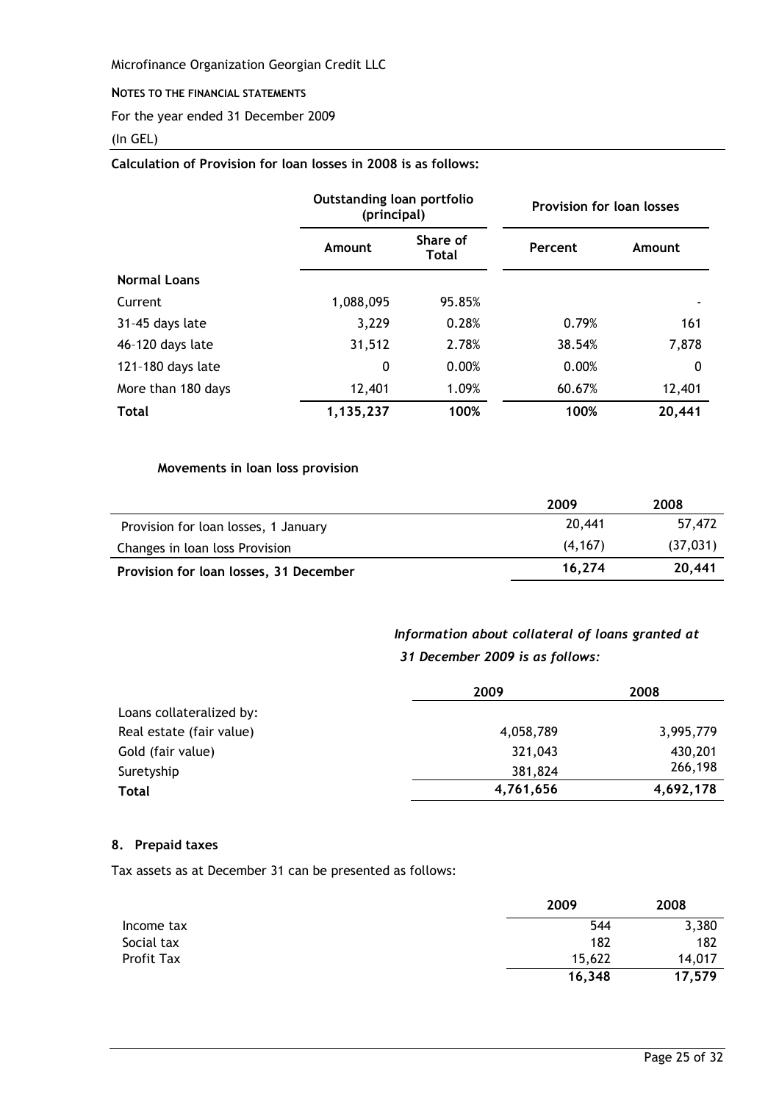#### NOTES TO THE FINANCIAL STATEMENTS

For the year ended 31 December 2009

#### (In GEL)

# Calculation of Provision for loan losses in 2008 is as follows:

|                     |           | Outstanding loan portfolio<br>(principal) |         | <b>Provision for loan losses</b> |
|---------------------|-----------|-------------------------------------------|---------|----------------------------------|
|                     | Amount    | Share of<br><b>Total</b>                  | Percent | Amount                           |
| <b>Normal Loans</b> |           |                                           |         |                                  |
| Current             | 1,088,095 | 95.85%                                    |         |                                  |
| 31-45 days late     | 3,229     | 0.28%                                     | 0.79%   | 161                              |
| 46-120 days late    | 31,512    | 2.78%                                     | 38.54%  | 7,878                            |
| 121-180 days late   | 0         | 0.00%                                     | 0.00%   | 0                                |
| More than 180 days  | 12,401    | 1.09%                                     | 60.67%  | 12,401                           |
| <b>Total</b>        | 1,135,237 | 100%                                      | 100%    | 20,441                           |

# Movements in loan loss provision

|                                        | 2009    | 2008      |
|----------------------------------------|---------|-----------|
| Provision for loan losses, 1 January   | 20,441  | 57.472    |
| Changes in loan loss Provision         | (4.167) | (37, 031) |
| Provision for loan losses, 31 December | 16.274  | 20,441    |

# Information about collateral of loans granted at 31 December 2009 is as follows:

|                          | 2009      | 2008      |
|--------------------------|-----------|-----------|
| Loans collateralized by: |           |           |
| Real estate (fair value) | 4,058,789 | 3,995,779 |
| Gold (fair value)        | 321,043   | 430,201   |
| Suretyship               | 381,824   | 266,198   |
| <b>Total</b>             | 4,761,656 | 4,692,178 |

#### 8. Prepaid taxes

Tax assets as at December 31 can be presented as follows:

|            | 2009   | 2008   |
|------------|--------|--------|
| Income tax | 544    | 3,380  |
| Social tax | 182    | 182    |
| Profit Tax | 15,622 | 14,017 |
|            | 16,348 | 17,579 |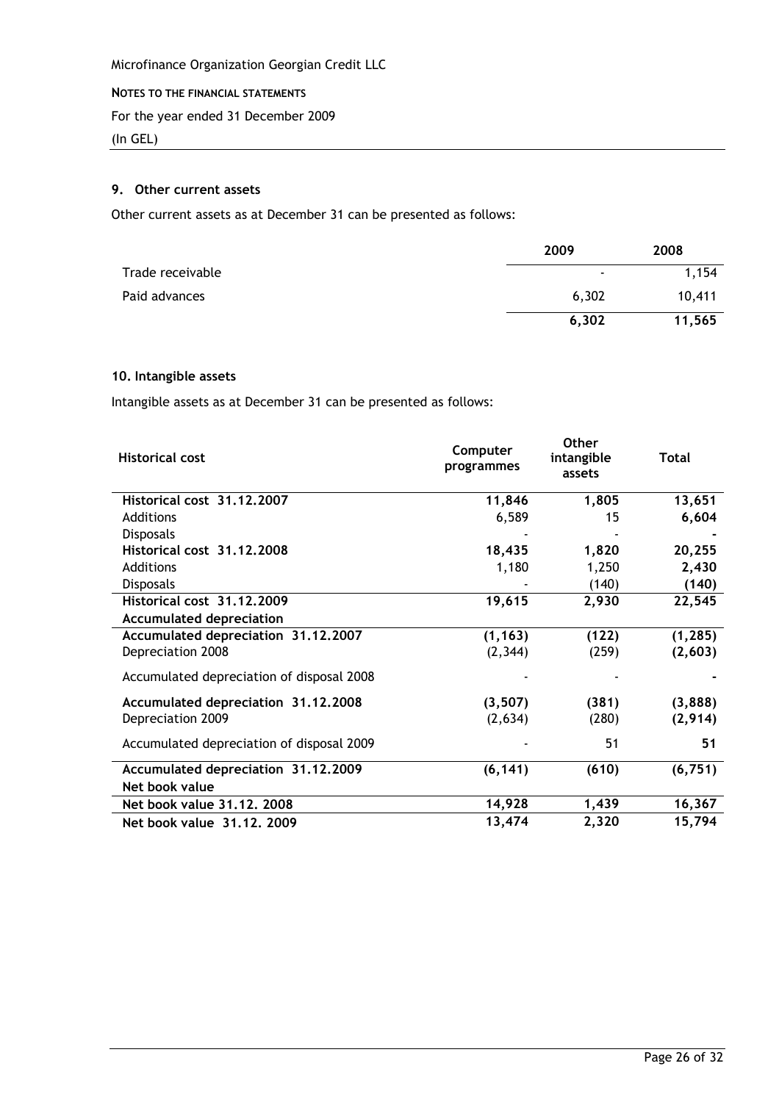#### NOTES TO THE FINANCIAL STATEMENTS

For the year ended 31 December 2009

(In GEL)

# 9. Other current assets

Other current assets as at December 31 can be presented as follows:

|                  | 2009                     | 2008   |
|------------------|--------------------------|--------|
| Trade receivable | $\overline{\phantom{a}}$ | 1,154  |
| Paid advances    | 6,302                    | 10,411 |
|                  | 6,302                    | 11,565 |

#### 10. Intangible assets

Intangible assets as at December 31 can be presented as follows:

| <b>Historical cost</b>                    | Computer<br>programmes | <b>Other</b><br>intangible<br>assets | Total    |
|-------------------------------------------|------------------------|--------------------------------------|----------|
| Historical cost 31.12.2007                | 11,846                 | 1,805                                | 13,651   |
| Additions                                 | 6,589                  | 15                                   | 6,604    |
| <b>Disposals</b>                          |                        |                                      |          |
| Historical cost 31.12.2008                | 18,435                 | 1,820                                | 20,255   |
| Additions                                 | 1,180                  | 1,250                                | 2,430    |
| <b>Disposals</b>                          |                        | (140)                                | (140)    |
| Historical cost 31.12.2009                | 19,615                 | 2,930                                | 22,545   |
| <b>Accumulated depreciation</b>           |                        |                                      |          |
| Accumulated depreciation 31.12.2007       | (1, 163)               | (122)                                | (1, 285) |
| Depreciation 2008                         | (2, 344)               | (259)                                | (2,603)  |
| Accumulated depreciation of disposal 2008 |                        |                                      |          |
| Accumulated depreciation 31.12.2008       | (3, 507)               | (381)                                | (3,888)  |
| Depreciation 2009                         | (2,634)                | (280)                                | (2,914)  |
| Accumulated depreciation of disposal 2009 |                        | 51                                   | 51       |
| Accumulated depreciation 31.12.2009       | (6, 141)               | (610)                                | (6, 751) |
| Net book value                            |                        |                                      |          |
| Net book value 31.12. 2008                | 14,928                 | 1,439                                | 16,367   |
| Net book value 31.12, 2009                | 13,474                 | 2,320                                | 15,794   |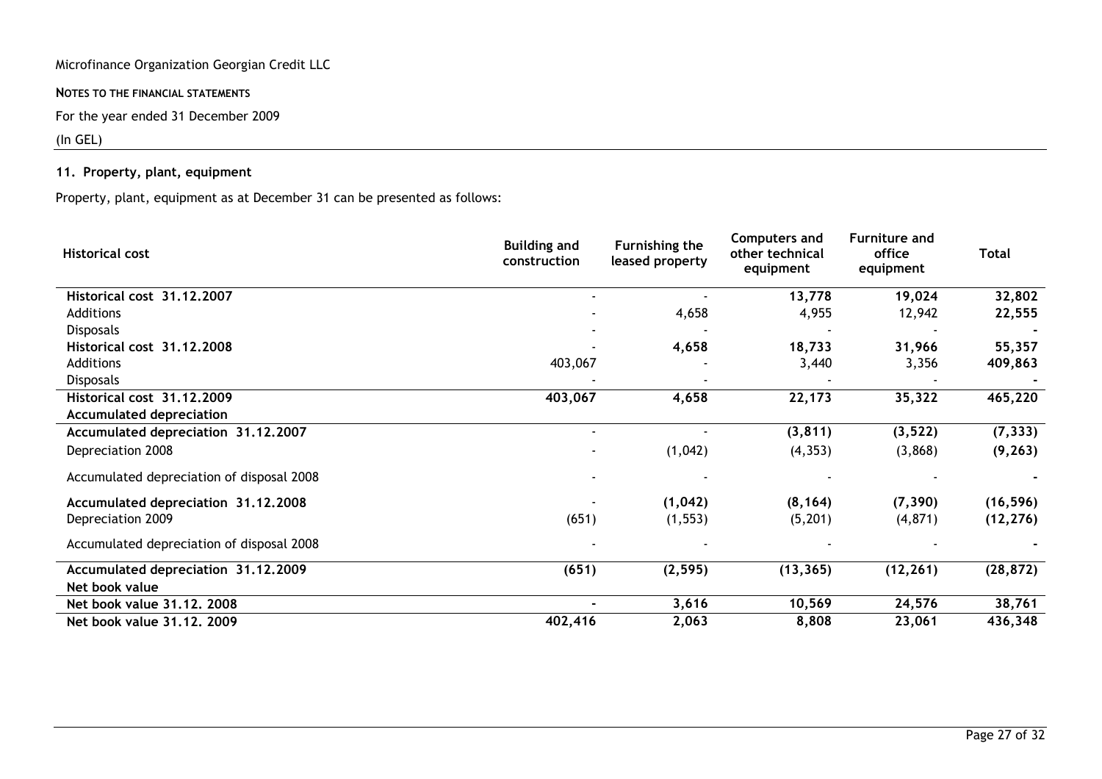NOTES TO THE FINANCIAL STATEMENTS

For the year ended 31 December 2009

# $(ln GEL)$

# 11. Property, plant, equipment

Property, plant, equipment as at December 31 can be presented as follows:

| <b>Historical cost</b>                    | <b>Building and</b><br>construction | Furnishing the<br>leased property | <b>Computers and</b><br>other technical<br>equipment | <b>Furniture and</b><br>office<br>equipment | <b>Total</b> |
|-------------------------------------------|-------------------------------------|-----------------------------------|------------------------------------------------------|---------------------------------------------|--------------|
| Historical cost 31.12.2007                |                                     |                                   | 13,778                                               | 19,024                                      | 32,802       |
| Additions                                 |                                     | 4,658                             | 4,955                                                | 12,942                                      | 22,555       |
| <b>Disposals</b>                          |                                     |                                   |                                                      |                                             |              |
| Historical cost 31.12.2008                |                                     | 4,658                             | 18,733                                               | 31,966                                      | 55,357       |
| Additions                                 | 403,067                             |                                   | 3,440                                                | 3,356                                       | 409,863      |
| <b>Disposals</b>                          |                                     |                                   |                                                      |                                             |              |
| Historical cost 31.12.2009                | 403,067                             | 4,658                             | 22,173                                               | 35,322                                      | 465,220      |
| <b>Accumulated depreciation</b>           |                                     |                                   |                                                      |                                             |              |
| Accumulated depreciation 31.12.2007       |                                     |                                   | (3, 811)                                             | (3, 522)                                    | (7, 333)     |
| Depreciation 2008                         |                                     | (1,042)                           | (4, 353)                                             | (3,868)                                     | (9, 263)     |
| Accumulated depreciation of disposal 2008 |                                     |                                   |                                                      |                                             |              |
| Accumulated depreciation 31.12.2008       |                                     | (1,042)                           | (8, 164)                                             | (7, 390)                                    | (16, 596)    |
| Depreciation 2009                         | (651)                               | (1, 553)                          | (5,201)                                              | (4, 871)                                    | (12, 276)    |
| Accumulated depreciation of disposal 2008 |                                     |                                   |                                                      |                                             |              |
| Accumulated depreciation 31.12.2009       | (651)                               | (2, 595)                          | (13, 365)                                            | (12, 261)                                   | (28, 872)    |
| Net book value                            |                                     |                                   |                                                      |                                             |              |
| Net book value 31.12, 2008                |                                     | 3,616                             | 10,569                                               | 24,576                                      | 38,761       |
| Net book value 31.12, 2009                | 402,416                             | 2,063                             | 8,808                                                | 23,061                                      | 436,348      |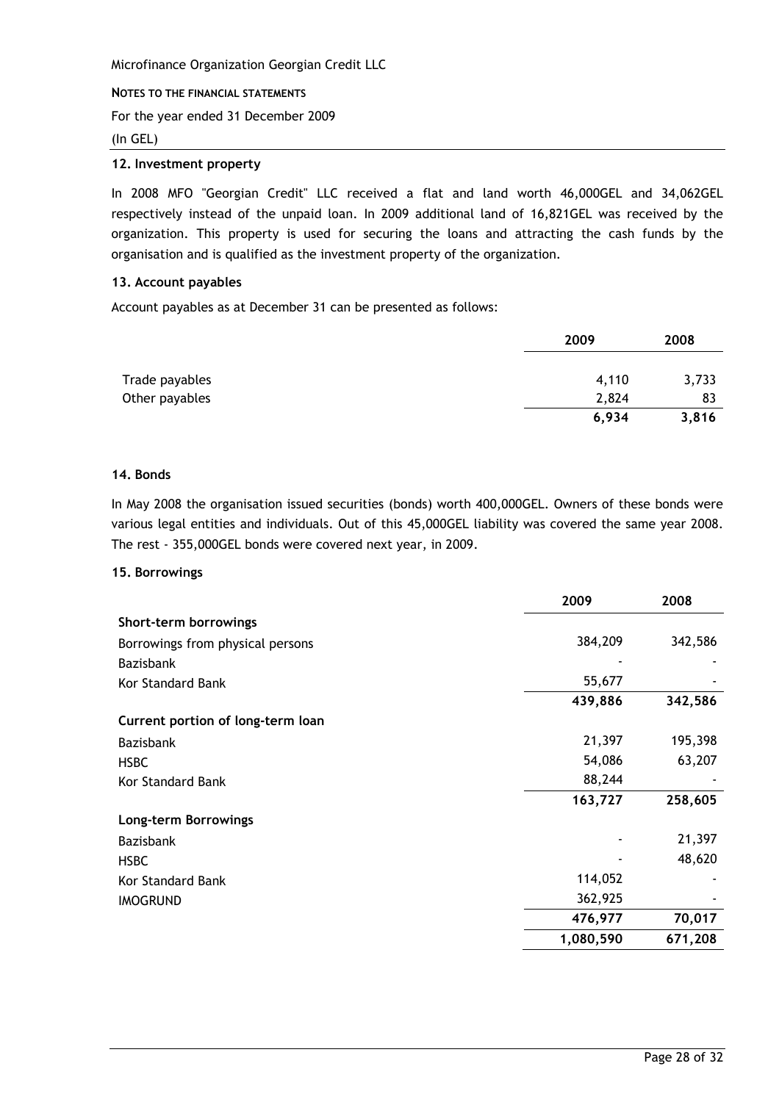#### NOTES TO THE FINANCIAL STATEMENTS

For the year ended 31 December 2009

#### $(In GEL)$

## 12. Investment property

In 2008 MFO "Georgian Credit" LLC received a flat and land worth 46,000GEL and 34,062GEL respectively instead of the unpaid loan. In 2009 additional land of 16,821GEL was received by the organization. This property is used for securing the loans and attracting the cash funds by the organisation and is qualified as the investment property of the organization.

# 13. Account payables

Account payables as at December 31 can be presented as follows:

|                | 2009  | 2008  |
|----------------|-------|-------|
|                |       |       |
| Trade payables | 4,110 | 3,733 |
| Other payables | 2,824 | 83    |
|                | 6,934 | 3,816 |

#### 14. Bonds

In May 2008 the organisation issued securities (bonds) worth 400,000GEL. Owners of these bonds were various legal entities and individuals. Out of this 45,000GEL liability was covered the same year 2008. The rest - 355,000GEL bonds were covered next year, in 2009.

#### 15. Borrowings

|                                   | 2009      | 2008    |
|-----------------------------------|-----------|---------|
| Short-term borrowings             |           |         |
| Borrowings from physical persons  | 384,209   | 342,586 |
| <b>Bazisbank</b>                  |           |         |
| <b>Kor Standard Bank</b>          | 55,677    |         |
|                                   | 439,886   | 342,586 |
| Current portion of long-term loan |           |         |
| <b>Bazisbank</b>                  | 21,397    | 195,398 |
| <b>HSBC</b>                       | 54,086    | 63,207  |
| Kor Standard Bank                 | 88,244    |         |
|                                   | 163,727   | 258,605 |
| Long-term Borrowings              |           |         |
| <b>Bazisbank</b>                  |           | 21,397  |
| <b>HSBC</b>                       |           | 48,620  |
| Kor Standard Bank                 | 114,052   |         |
| <b>IMOGRUND</b>                   | 362,925   |         |
|                                   | 476,977   | 70,017  |
|                                   | 1,080,590 | 671,208 |
|                                   |           |         |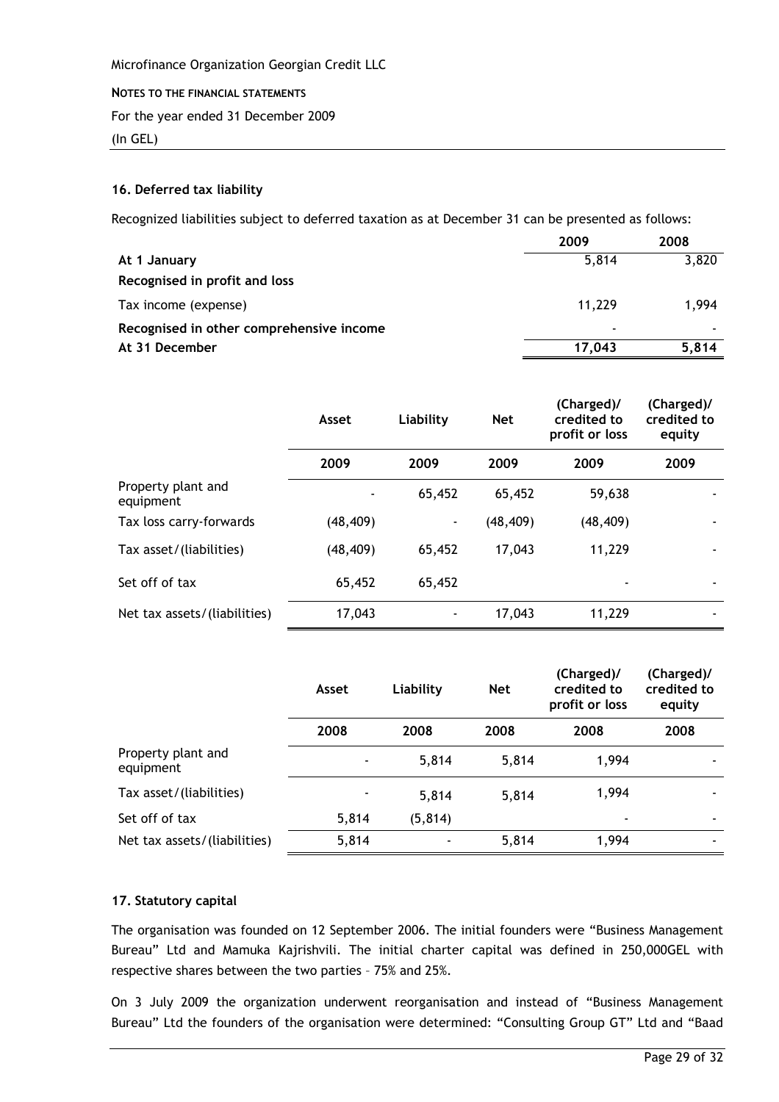#### NOTES TO THE FINANCIAL STATEMENTS

For the year ended 31 December 2009

 $(In GEL)$ 

# 16. Deferred tax liability

Recognized liabilities subject to deferred taxation as at December 31 can be presented as follows:

|                                          | 2009   | 2008  |
|------------------------------------------|--------|-------|
| At 1 January                             | 5,814  | 3,820 |
| Recognised in profit and loss            |        |       |
| Tax income (expense)                     | 11,229 | 1.994 |
| Recognised in other comprehensive income | ۰      |       |
| At 31 December                           | 17,043 | 5,814 |

|                                 | Asset     | Liability                | <b>Net</b> | (Charged)/<br>credited to<br>profit or loss | (Charged)/<br>credited to<br>equity |
|---------------------------------|-----------|--------------------------|------------|---------------------------------------------|-------------------------------------|
|                                 | 2009      | 2009                     | 2009       | 2009                                        | 2009                                |
| Property plant and<br>equipment |           | 65,452                   | 65,452     | 59,638                                      |                                     |
| Tax loss carry-forwards         | (48, 409) | $\overline{\phantom{a}}$ | (48, 409)  | (48, 409)                                   |                                     |
| Tax asset/(liabilities)         | (48, 409) | 65,452                   | 17,043     | 11,229                                      |                                     |
| Set off of tax                  | 65,452    | 65,452                   |            |                                             |                                     |
| Net tax assets/(liabilities)    | 17,043    |                          | 17,043     | 11,229                                      |                                     |

|                                 | Asset                    | Liability | <b>Net</b> | (Charged)/<br>credited to<br>profit or loss | (Charged)/<br>credited to<br>equity |
|---------------------------------|--------------------------|-----------|------------|---------------------------------------------|-------------------------------------|
|                                 | 2008                     | 2008      | 2008       | 2008                                        | 2008                                |
| Property plant and<br>equipment | $\overline{\phantom{a}}$ | 5,814     | 5,814      | 1,994                                       |                                     |
| Tax asset/(liabilities)         |                          | 5,814     | 5,814      | 1,994                                       | ٠                                   |
| Set off of tax                  | 5,814                    | (5, 814)  |            | $\overline{\phantom{a}}$                    | ۰                                   |
| Net tax assets/(liabilities)    | 5,814                    |           | 5,814      | 1,994                                       |                                     |

# 17. Statutory capital

The organisation was founded on 12 September 2006. The initial founders were "Business Management Bureau" Ltd and Mamuka Kajrishvili. The initial charter capital was defined in 250,000GEL with respective shares between the two parties - 75% and 25%.

On 3 July 2009 the organization underwent reorganisation and instead of "Business Management Bureau" Ltd the founders of the organisation were determined: "Consulting Group GT" Ltd and "Baad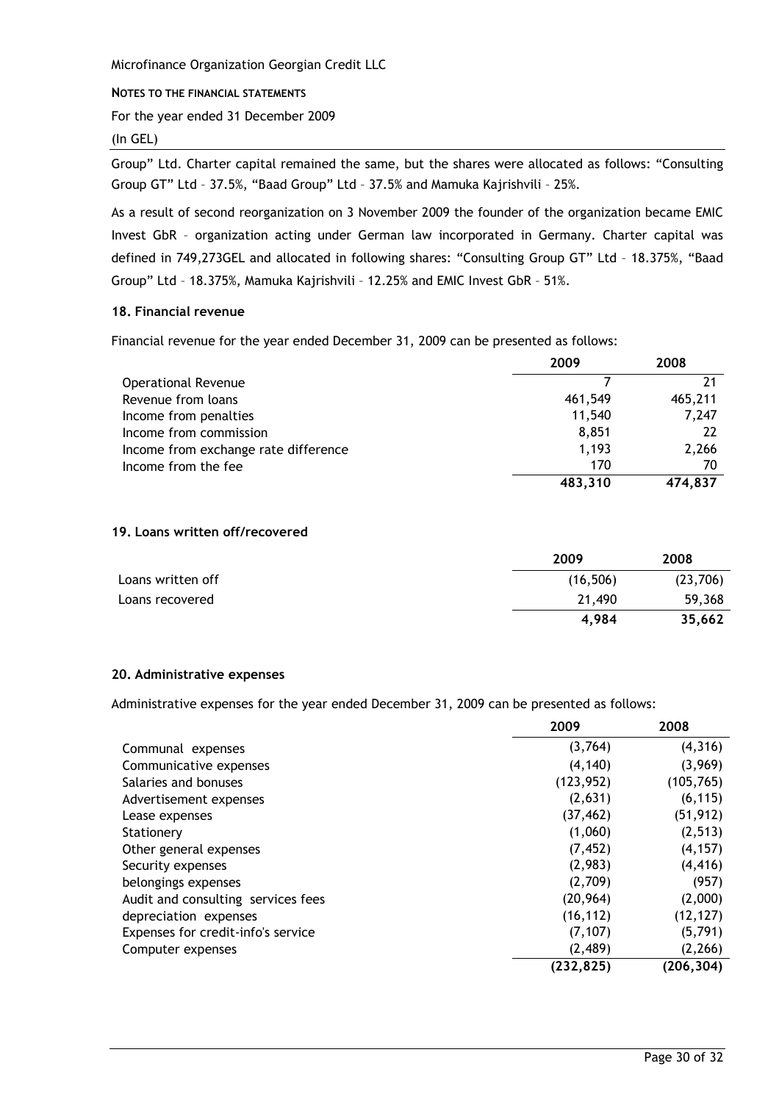#### NOTES TO THE FINANCIAL STATEMENTS

For the year ended 31 December 2009

#### $(In GEL)$

Group" Ltd. Charter capital remained the same, but the shares were allocated as follows: "Consulting Group GT" Ltd - 37.5%, "Baad Group" Ltd - 37.5% and Mamuka Kajrishvili - 25%.

As a result of second reorganization on 3 November 2009 the founder of the organization became EMIC Invest GbR - organization acting under German law incorporated in Germany. Charter capital was defined in 749,273GEL and allocated in following shares: "Consulting Group GT" Ltd - 18.375%, "Baad Group" Ltd - 18.375%, Mamuka Kajrishvili - 12.25% and EMIC Invest GbR - 51%.

#### 18. Financial revenue

Financial revenue for the year ended December 31, 2009 can be presented as follows:

|                                      | 2009    | 2008    |
|--------------------------------------|---------|---------|
| <b>Operational Revenue</b>           |         |         |
| Revenue from loans                   | 461,549 | 465,211 |
| Income from penalties                | 11,540  | 7,247   |
| Income from commission               | 8,851   | 22      |
| Income from exchange rate difference | 1,193   | 2,266   |
| Income from the fee                  | 170     | 70      |
|                                      | 483,310 | 474,837 |

#### 19. Loans written off/recovered

|                   | 2009      | 2008     |
|-------------------|-----------|----------|
| Loans written off | (16, 506) | (23,706) |
| Loans recovered   | 21,490    | 59,368   |
|                   | 4,984     | 35,662   |

#### 20. Administrative expenses

Administrative expenses for the year ended December 31, 2009 can be presented as follows:

|                                    | 2009       | 2008       |
|------------------------------------|------------|------------|
| Communal expenses                  | (3,764)    | (4, 316)   |
| Communicative expenses             | (4, 140)   | (3,969)    |
| Salaries and bonuses               | (123, 952) | (105, 765) |
| Advertisement expenses             | (2,631)    | (6, 115)   |
| Lease expenses                     | (37, 462)  | (51, 912)  |
| Stationery                         | (1,060)    | (2, 513)   |
| Other general expenses             | (7, 452)   | (4, 157)   |
| Security expenses                  | (2,983)    | (4, 416)   |
| belongings expenses                | (2,709)    | (957)      |
| Audit and consulting services fees | (20, 964)  | (2,000)    |
| depreciation expenses              | (16, 112)  | (12, 127)  |
| Expenses for credit-info's service | (7, 107)   | (5, 791)   |
| Computer expenses                  | (2,489)    | (2, 266)   |
|                                    | (232, 825) | (206, 304) |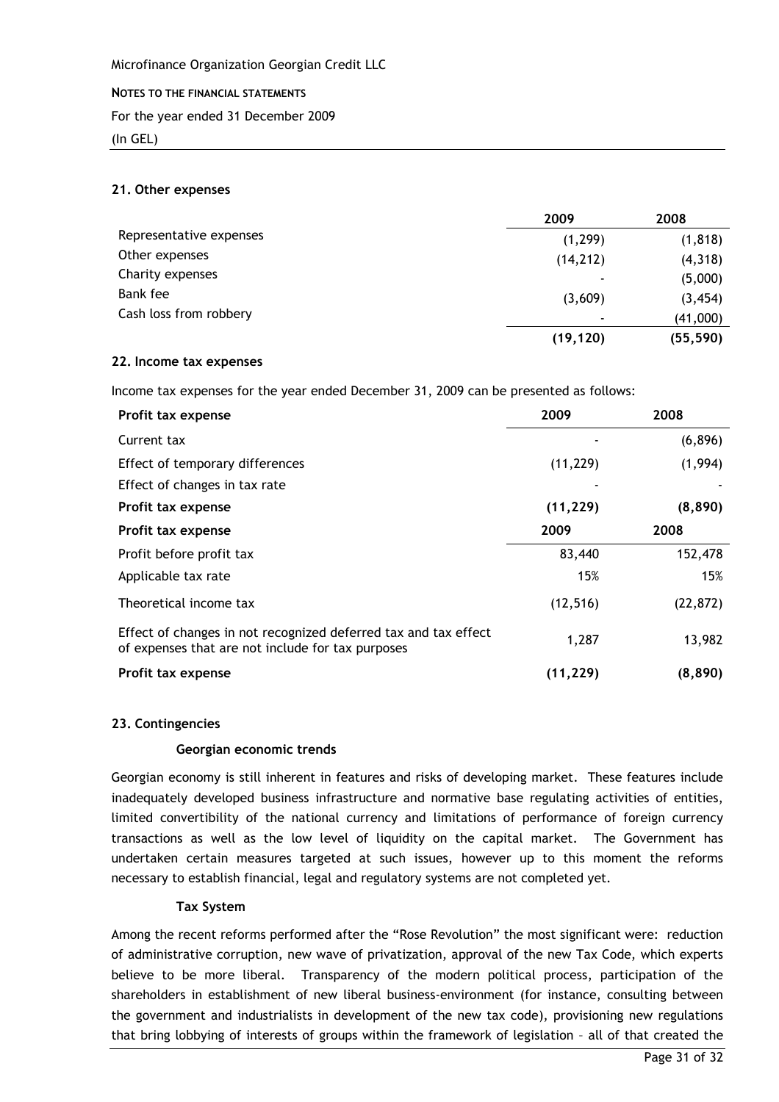#### NOTES TO THE FINANCIAL STATEMENTS

For the year ended 31 December 2009

 $(In GEL)$ 

## 21. Other expenses

|                         | 2009                     | 2008      |
|-------------------------|--------------------------|-----------|
| Representative expenses | (1, 299)                 | (1, 818)  |
| Other expenses          | (14, 212)                | (4, 318)  |
| Charity expenses        |                          | (5,000)   |
| Bank fee                | (3,609)                  | (3, 454)  |
| Cash loss from robbery  | $\overline{\phantom{a}}$ | (41,000)  |
|                         | (19, 120)                | (55, 590) |

#### 22. Income tax expenses

Income tax expenses for the year ended December 31, 2009 can be presented as follows:

| Profit tax expense                                                                                                   | 2009      | 2008      |
|----------------------------------------------------------------------------------------------------------------------|-----------|-----------|
| Current tax                                                                                                          |           | (6,896)   |
| Effect of temporary differences                                                                                      | (11, 229) | (1,994)   |
| Effect of changes in tax rate                                                                                        |           |           |
| Profit tax expense                                                                                                   | (11, 229) | (8,890)   |
| Profit tax expense                                                                                                   | 2009      | 2008      |
| Profit before profit tax                                                                                             | 83,440    | 152,478   |
| Applicable tax rate                                                                                                  | 15%       | 15%       |
| Theoretical income tax                                                                                               | (12, 516) | (22, 872) |
| Effect of changes in not recognized deferred tax and tax effect<br>of expenses that are not include for tax purposes | 1,287     | 13,982    |
| Profit tax expense                                                                                                   | (11, 229) | (8,890)   |

#### 23. Contingencies

#### Georgian economic trends

Georgian economy is still inherent in features and risks of developing market. These features include inadequately developed business infrastructure and normative base regulating activities of entities, limited convertibility of the national currency and limitations of performance of foreign currency transactions as well as the low level of liquidity on the capital market. The Government has undertaken certain measures targeted at such issues, however up to this moment the reforms necessary to establish financial, legal and regulatory systems are not completed yet.

#### **Tax System**

Among the recent reforms performed after the "Rose Revolution" the most significant were: reduction of administrative corruption, new wave of privatization, approval of the new Tax Code, which experts believe to be more liberal. Transparency of the modern political process, participation of the shareholders in establishment of new liberal business-environment (for instance, consulting between the government and industrialists in development of the new tax code), provisioning new regulations that bring lobbying of interests of groups within the framework of legislation - all of that created the